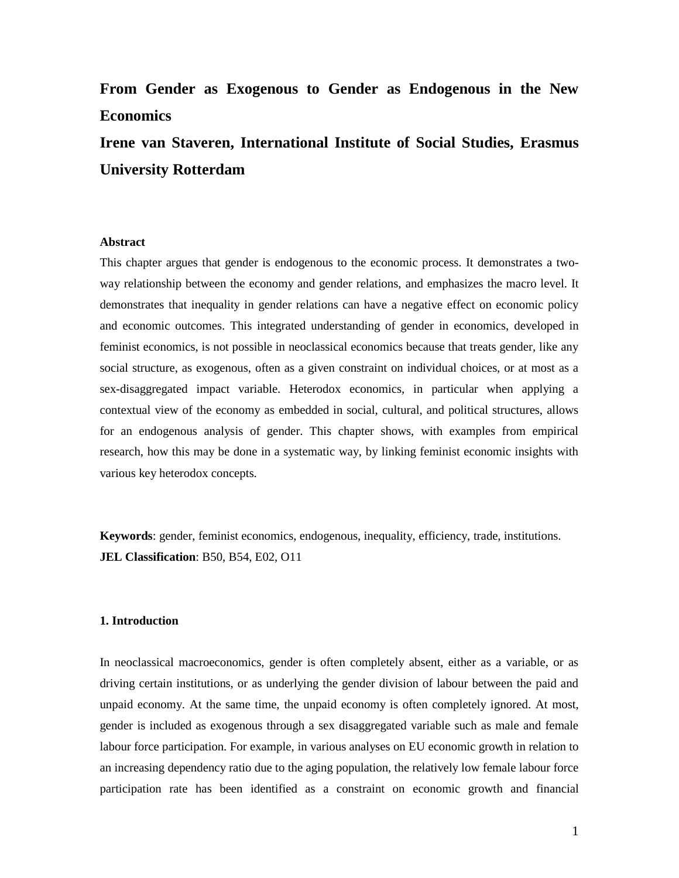# **From Gender as Exogenous to Gender as Endogenous in the New Economics**

**Irene van Staveren, International Institute of Social Studies, Erasmus University Rotterdam**

#### **Abstract**

This chapter argues that gender is endogenous to the economic process. It demonstrates a twoway relationship between the economy and gender relations, and emphasizes the macro level. It demonstrates that inequality in gender relations can have a negative effect on economic policy and economic outcomes. This integrated understanding of gender in economics, developed in feminist economics, is not possible in neoclassical economics because that treats gender, like any social structure, as exogenous, often as a given constraint on individual choices, or at most as a sex-disaggregated impact variable. Heterodox economics, in particular when applying a contextual view of the economy as embedded in social, cultural, and political structures, allows for an endogenous analysis of gender. This chapter shows, with examples from empirical research, how this may be done in a systematic way, by linking feminist economic insights with various key heterodox concepts.

**Keywords**: gender, feminist economics, endogenous, inequality, efficiency, trade, institutions. **JEL Classification**: B50, B54, E02, O11

#### **1. Introduction**

In neoclassical macroeconomics, gender is often completely absent, either as a variable, or as driving certain institutions, or as underlying the gender division of labour between the paid and unpaid economy. At the same time, the unpaid economy is often completely ignored. At most, gender is included as exogenous through a sex disaggregated variable such as male and female labour force participation. For example, in various analyses on EU economic growth in relation to an increasing dependency ratio due to the aging population, the relatively low female labour force participation rate has been identified as a constraint on economic growth and financial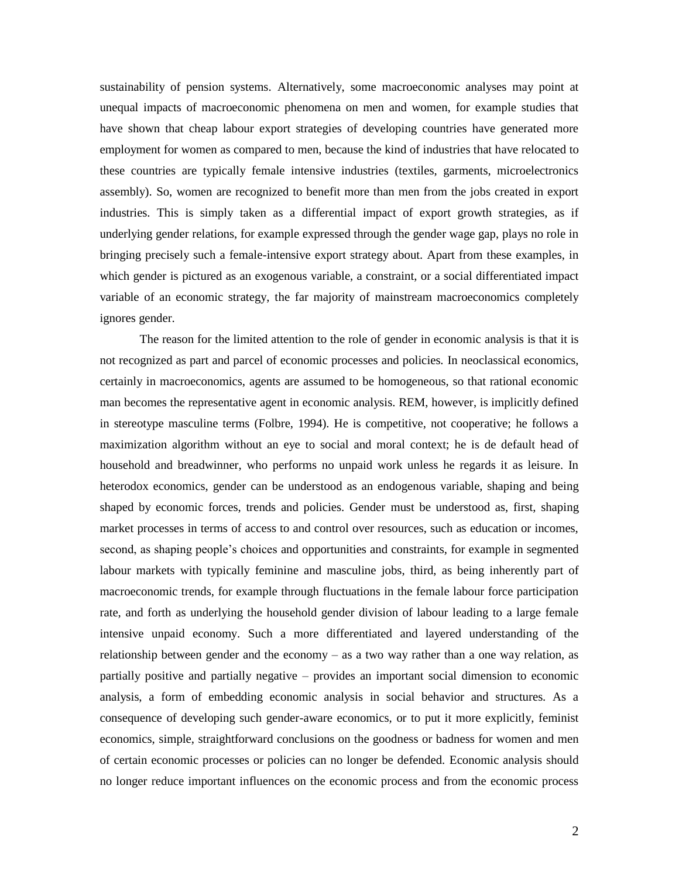sustainability of pension systems. Alternatively, some macroeconomic analyses may point at unequal impacts of macroeconomic phenomena on men and women, for example studies that have shown that cheap labour export strategies of developing countries have generated more employment for women as compared to men, because the kind of industries that have relocated to these countries are typically female intensive industries (textiles, garments, microelectronics assembly). So, women are recognized to benefit more than men from the jobs created in export industries. This is simply taken as a differential impact of export growth strategies, as if underlying gender relations, for example expressed through the gender wage gap, plays no role in bringing precisely such a female-intensive export strategy about. Apart from these examples, in which gender is pictured as an exogenous variable, a constraint, or a social differentiated impact variable of an economic strategy, the far majority of mainstream macroeconomics completely ignores gender.

The reason for the limited attention to the role of gender in economic analysis is that it is not recognized as part and parcel of economic processes and policies. In neoclassical economics, certainly in macroeconomics, agents are assumed to be homogeneous, so that rational economic man becomes the representative agent in economic analysis. REM, however, is implicitly defined in stereotype masculine terms (Folbre, 1994). He is competitive, not cooperative; he follows a maximization algorithm without an eye to social and moral context; he is de default head of household and breadwinner, who performs no unpaid work unless he regards it as leisure. In heterodox economics, gender can be understood as an endogenous variable, shaping and being shaped by economic forces, trends and policies. Gender must be understood as, first, shaping market processes in terms of access to and control over resources, such as education or incomes, second, as shaping people's choices and opportunities and constraints, for example in segmented labour markets with typically feminine and masculine jobs, third, as being inherently part of macroeconomic trends, for example through fluctuations in the female labour force participation rate, and forth as underlying the household gender division of labour leading to a large female intensive unpaid economy. Such a more differentiated and layered understanding of the relationship between gender and the economy – as a two way rather than a one way relation, as partially positive and partially negative – provides an important social dimension to economic analysis, a form of embedding economic analysis in social behavior and structures. As a consequence of developing such gender-aware economics, or to put it more explicitly, feminist economics, simple, straightforward conclusions on the goodness or badness for women and men of certain economic processes or policies can no longer be defended. Economic analysis should no longer reduce important influences on the economic process and from the economic process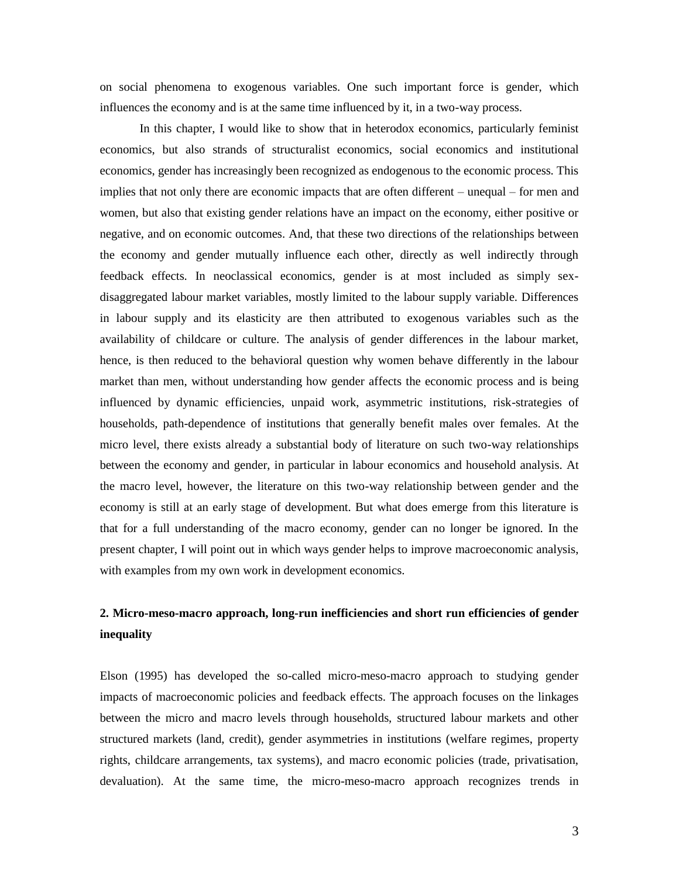on social phenomena to exogenous variables. One such important force is gender, which influences the economy and is at the same time influenced by it, in a two-way process.

In this chapter, I would like to show that in heterodox economics, particularly feminist economics, but also strands of structuralist economics, social economics and institutional economics, gender has increasingly been recognized as endogenous to the economic process. This implies that not only there are economic impacts that are often different – unequal – for men and women, but also that existing gender relations have an impact on the economy, either positive or negative, and on economic outcomes. And, that these two directions of the relationships between the economy and gender mutually influence each other, directly as well indirectly through feedback effects. In neoclassical economics, gender is at most included as simply sexdisaggregated labour market variables, mostly limited to the labour supply variable. Differences in labour supply and its elasticity are then attributed to exogenous variables such as the availability of childcare or culture. The analysis of gender differences in the labour market, hence, is then reduced to the behavioral question why women behave differently in the labour market than men, without understanding how gender affects the economic process and is being influenced by dynamic efficiencies, unpaid work, asymmetric institutions, risk-strategies of households, path-dependence of institutions that generally benefit males over females. At the micro level, there exists already a substantial body of literature on such two-way relationships between the economy and gender, in particular in labour economics and household analysis. At the macro level, however, the literature on this two-way relationship between gender and the economy is still at an early stage of development. But what does emerge from this literature is that for a full understanding of the macro economy, gender can no longer be ignored. In the present chapter, I will point out in which ways gender helps to improve macroeconomic analysis, with examples from my own work in development economics.

## **2. Micro-meso-macro approach, long-run inefficiencies and short run efficiencies of gender inequality**

Elson (1995) has developed the so-called micro-meso-macro approach to studying gender impacts of macroeconomic policies and feedback effects. The approach focuses on the linkages between the micro and macro levels through households, structured labour markets and other structured markets (land, credit), gender asymmetries in institutions (welfare regimes, property rights, childcare arrangements, tax systems), and macro economic policies (trade, privatisation, devaluation). At the same time, the micro-meso-macro approach recognizes trends in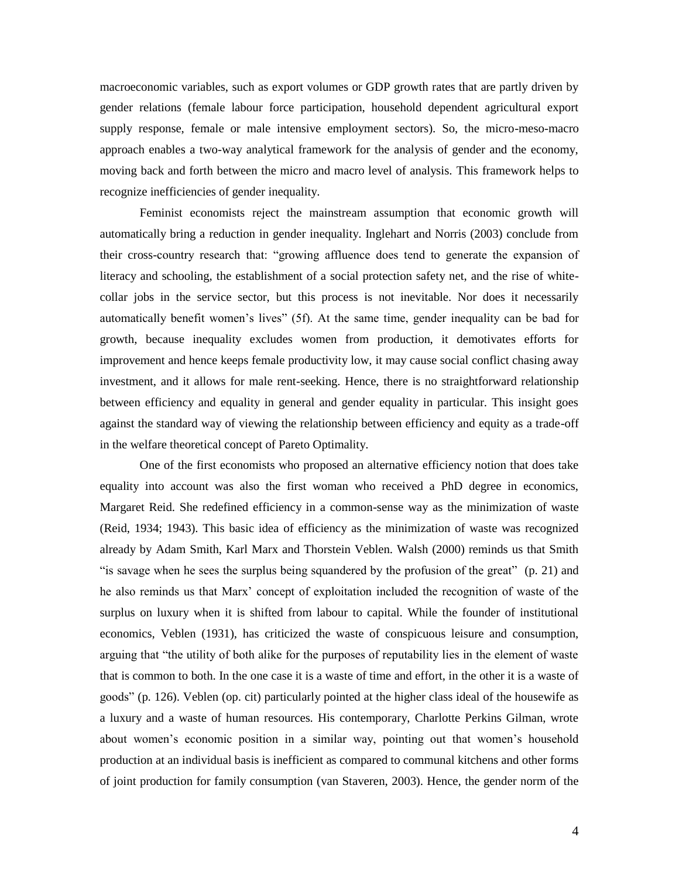macroeconomic variables, such as export volumes or GDP growth rates that are partly driven by gender relations (female labour force participation, household dependent agricultural export supply response, female or male intensive employment sectors). So, the micro-meso-macro approach enables a two-way analytical framework for the analysis of gender and the economy, moving back and forth between the micro and macro level of analysis. This framework helps to recognize inefficiencies of gender inequality.

Feminist economists reject the mainstream assumption that economic growth will automatically bring a reduction in gender inequality. Inglehart and Norris (2003) conclude from their cross-country research that: "growing affluence does tend to generate the expansion of literacy and schooling, the establishment of a social protection safety net, and the rise of whitecollar jobs in the service sector, but this process is not inevitable. Nor does it necessarily automatically benefit women's lives" (5f). At the same time, gender inequality can be bad for growth, because inequality excludes women from production, it demotivates efforts for improvement and hence keeps female productivity low, it may cause social conflict chasing away investment, and it allows for male rent-seeking. Hence, there is no straightforward relationship between efficiency and equality in general and gender equality in particular. This insight goes against the standard way of viewing the relationship between efficiency and equity as a trade-off in the welfare theoretical concept of Pareto Optimality.

One of the first economists who proposed an alternative efficiency notion that does take equality into account was also the first woman who received a PhD degree in economics, Margaret Reid. She redefined efficiency in a common-sense way as the minimization of waste (Reid, 1934; 1943). This basic idea of efficiency as the minimization of waste was recognized already by Adam Smith, Karl Marx and Thorstein Veblen. Walsh (2000) reminds us that Smith "is savage when he sees the surplus being squandered by the profusion of the great" (p. 21) and he also reminds us that Marx' concept of exploitation included the recognition of waste of the surplus on luxury when it is shifted from labour to capital. While the founder of institutional economics, Veblen (1931), has criticized the waste of conspicuous leisure and consumption, arguing that "the utility of both alike for the purposes of reputability lies in the element of waste that is common to both. In the one case it is a waste of time and effort, in the other it is a waste of goods" (p. 126). Veblen (op. cit) particularly pointed at the higher class ideal of the housewife as a luxury and a waste of human resources. His contemporary, Charlotte Perkins Gilman, wrote about women's economic position in a similar way, pointing out that women's household production at an individual basis is inefficient as compared to communal kitchens and other forms of joint production for family consumption (van Staveren, 2003). Hence, the gender norm of the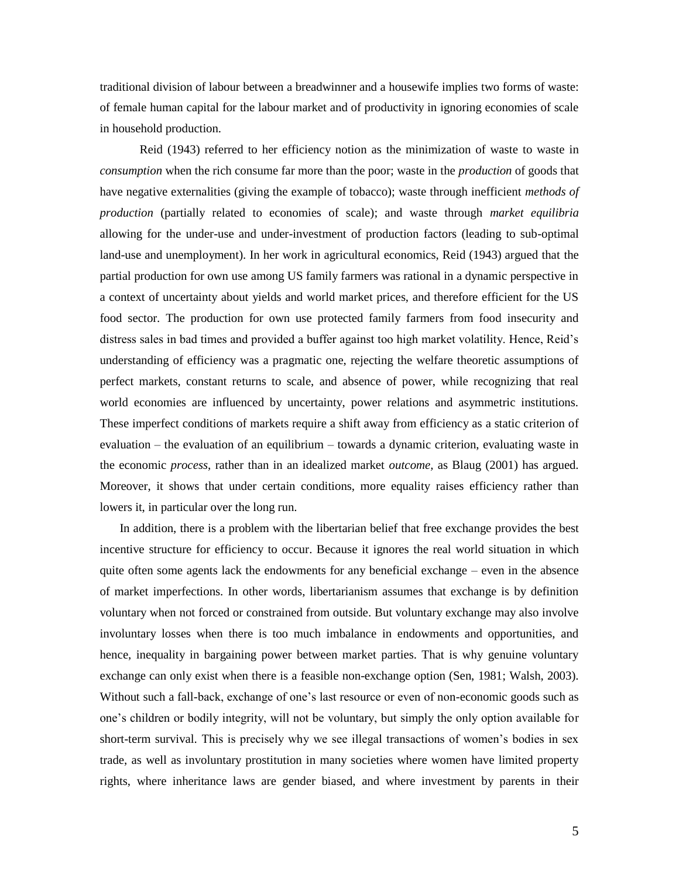traditional division of labour between a breadwinner and a housewife implies two forms of waste: of female human capital for the labour market and of productivity in ignoring economies of scale in household production.

Reid (1943) referred to her efficiency notion as the minimization of waste to waste in *consumption* when the rich consume far more than the poor; waste in the *production* of goods that have negative externalities (giving the example of tobacco); waste through inefficient *methods of production* (partially related to economies of scale); and waste through *market equilibria* allowing for the under-use and under-investment of production factors (leading to sub-optimal land-use and unemployment). In her work in agricultural economics, Reid (1943) argued that the partial production for own use among US family farmers was rational in a dynamic perspective in a context of uncertainty about yields and world market prices, and therefore efficient for the US food sector. The production for own use protected family farmers from food insecurity and distress sales in bad times and provided a buffer against too high market volatility. Hence, Reid's understanding of efficiency was a pragmatic one, rejecting the welfare theoretic assumptions of perfect markets, constant returns to scale, and absence of power, while recognizing that real world economies are influenced by uncertainty, power relations and asymmetric institutions. These imperfect conditions of markets require a shift away from efficiency as a static criterion of evaluation – the evaluation of an equilibrium – towards a dynamic criterion, evaluating waste in the economic *process*, rather than in an idealized market *outcome,* as Blaug (2001) has argued. Moreover, it shows that under certain conditions, more equality raises efficiency rather than lowers it, in particular over the long run.

In addition, there is a problem with the libertarian belief that free exchange provides the best incentive structure for efficiency to occur. Because it ignores the real world situation in which quite often some agents lack the endowments for any beneficial exchange – even in the absence of market imperfections. In other words, libertarianism assumes that exchange is by definition voluntary when not forced or constrained from outside. But voluntary exchange may also involve involuntary losses when there is too much imbalance in endowments and opportunities, and hence, inequality in bargaining power between market parties. That is why genuine voluntary exchange can only exist when there is a feasible non-exchange option (Sen, 1981; Walsh, 2003). Without such a fall-back, exchange of one's last resource or even of non-economic goods such as one's children or bodily integrity, will not be voluntary, but simply the only option available for short-term survival. This is precisely why we see illegal transactions of women's bodies in sex trade, as well as involuntary prostitution in many societies where women have limited property rights, where inheritance laws are gender biased, and where investment by parents in their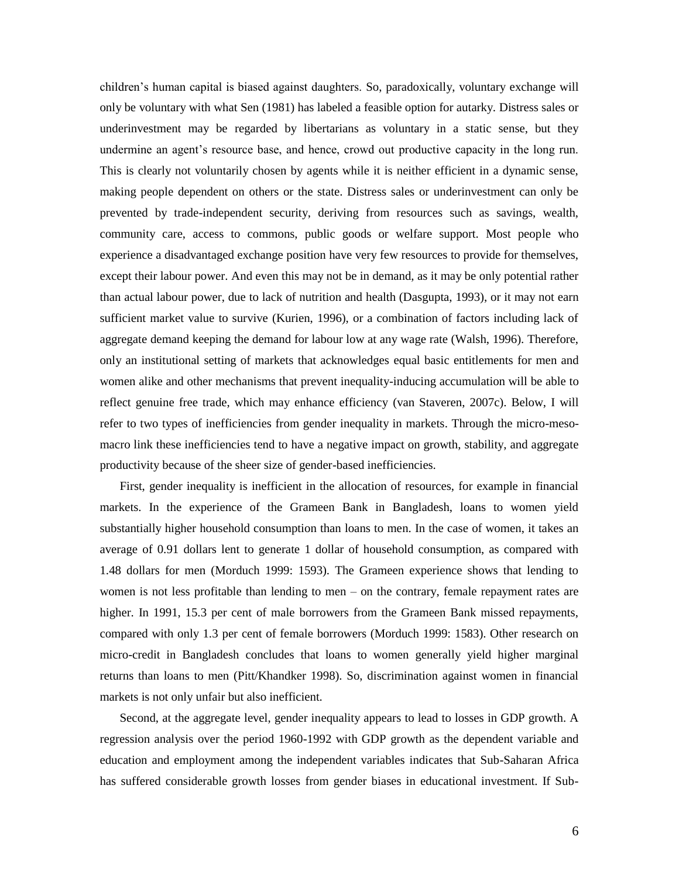children's human capital is biased against daughters. So, paradoxically, voluntary exchange will only be voluntary with what Sen (1981) has labeled a feasible option for autarky. Distress sales or underinvestment may be regarded by libertarians as voluntary in a static sense, but they undermine an agent's resource base, and hence, crowd out productive capacity in the long run. This is clearly not voluntarily chosen by agents while it is neither efficient in a dynamic sense, making people dependent on others or the state. Distress sales or underinvestment can only be prevented by trade-independent security, deriving from resources such as savings, wealth, community care, access to commons, public goods or welfare support. Most people who experience a disadvantaged exchange position have very few resources to provide for themselves, except their labour power. And even this may not be in demand, as it may be only potential rather than actual labour power, due to lack of nutrition and health (Dasgupta, 1993), or it may not earn sufficient market value to survive (Kurien, 1996), or a combination of factors including lack of aggregate demand keeping the demand for labour low at any wage rate (Walsh, 1996). Therefore, only an institutional setting of markets that acknowledges equal basic entitlements for men and women alike and other mechanisms that prevent inequality-inducing accumulation will be able to reflect genuine free trade, which may enhance efficiency (van Staveren, 2007c). Below, I will refer to two types of inefficiencies from gender inequality in markets. Through the micro-mesomacro link these inefficiencies tend to have a negative impact on growth, stability, and aggregate productivity because of the sheer size of gender-based inefficiencies.

First, gender inequality is inefficient in the allocation of resources, for example in financial markets. In the experience of the Grameen Bank in Bangladesh, loans to women yield substantially higher household consumption than loans to men. In the case of women, it takes an average of 0.91 dollars lent to generate 1 dollar of household consumption, as compared with 1.48 dollars for men (Morduch 1999: 1593). The Grameen experience shows that lending to women is not less profitable than lending to men – on the contrary, female repayment rates are higher. In 1991, 15.3 per cent of male borrowers from the Grameen Bank missed repayments, compared with only 1.3 per cent of female borrowers (Morduch 1999: 1583). Other research on micro-credit in Bangladesh concludes that loans to women generally yield higher marginal returns than loans to men (Pitt/Khandker 1998). So, discrimination against women in financial markets is not only unfair but also inefficient.

Second, at the aggregate level, gender inequality appears to lead to losses in GDP growth. A regression analysis over the period 1960-1992 with GDP growth as the dependent variable and education and employment among the independent variables indicates that Sub-Saharan Africa has suffered considerable growth losses from gender biases in educational investment. If Sub-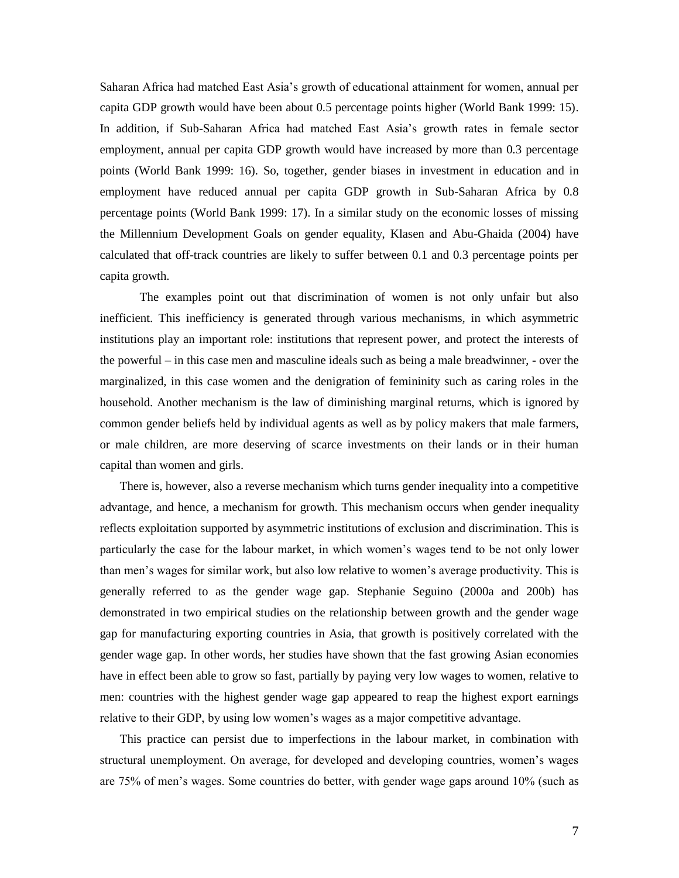Saharan Africa had matched East Asia's growth of educational attainment for women, annual per capita GDP growth would have been about 0.5 percentage points higher (World Bank 1999: 15). In addition, if Sub-Saharan Africa had matched East Asia's growth rates in female sector employment, annual per capita GDP growth would have increased by more than 0.3 percentage points (World Bank 1999: 16). So, together, gender biases in investment in education and in employment have reduced annual per capita GDP growth in Sub-Saharan Africa by 0.8 percentage points (World Bank 1999: 17). In a similar study on the economic losses of missing the Millennium Development Goals on gender equality, Klasen and Abu-Ghaida (2004) have calculated that off-track countries are likely to suffer between 0.1 and 0.3 percentage points per capita growth.

The examples point out that discrimination of women is not only unfair but also inefficient. This inefficiency is generated through various mechanisms, in which asymmetric institutions play an important role: institutions that represent power, and protect the interests of the powerful – in this case men and masculine ideals such as being a male breadwinner, - over the marginalized, in this case women and the denigration of femininity such as caring roles in the household. Another mechanism is the law of diminishing marginal returns, which is ignored by common gender beliefs held by individual agents as well as by policy makers that male farmers, or male children, are more deserving of scarce investments on their lands or in their human capital than women and girls.

There is, however, also a reverse mechanism which turns gender inequality into a competitive advantage, and hence, a mechanism for growth. This mechanism occurs when gender inequality reflects exploitation supported by asymmetric institutions of exclusion and discrimination. This is particularly the case for the labour market, in which women's wages tend to be not only lower than men's wages for similar work, but also low relative to women's average productivity. This is generally referred to as the gender wage gap. Stephanie Seguino (2000a and 200b) has demonstrated in two empirical studies on the relationship between growth and the gender wage gap for manufacturing exporting countries in Asia, that growth is positively correlated with the gender wage gap. In other words, her studies have shown that the fast growing Asian economies have in effect been able to grow so fast, partially by paying very low wages to women, relative to men: countries with the highest gender wage gap appeared to reap the highest export earnings relative to their GDP, by using low women's wages as a major competitive advantage.

This practice can persist due to imperfections in the labour market, in combination with structural unemployment. On average, for developed and developing countries, women's wages are 75% of men's wages. Some countries do better, with gender wage gaps around 10% (such as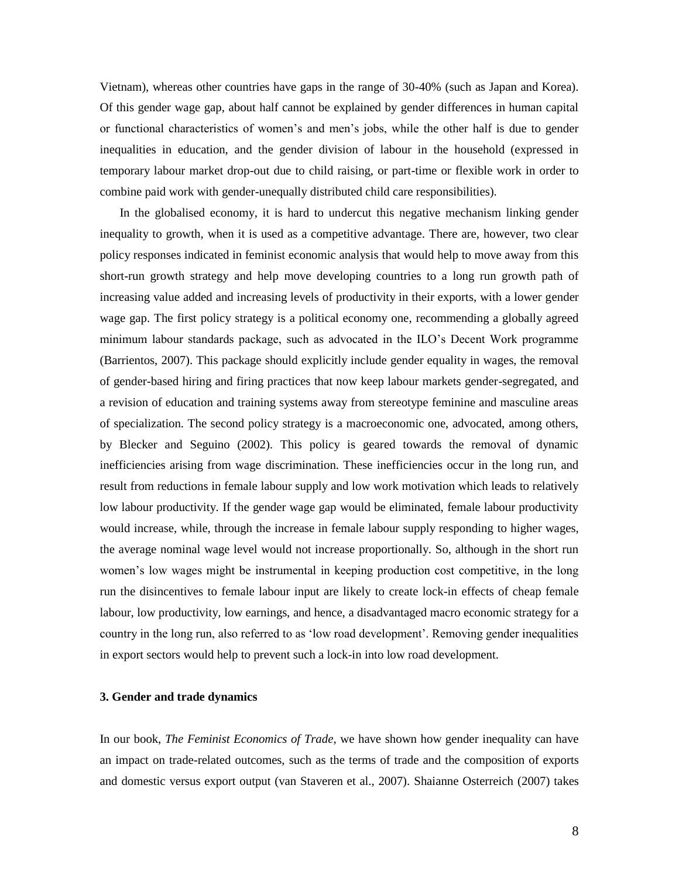Vietnam), whereas other countries have gaps in the range of 30-40% (such as Japan and Korea). Of this gender wage gap, about half cannot be explained by gender differences in human capital or functional characteristics of women's and men's jobs, while the other half is due to gender inequalities in education, and the gender division of labour in the household (expressed in temporary labour market drop-out due to child raising, or part-time or flexible work in order to combine paid work with gender-unequally distributed child care responsibilities).

In the globalised economy, it is hard to undercut this negative mechanism linking gender inequality to growth, when it is used as a competitive advantage. There are, however, two clear policy responses indicated in feminist economic analysis that would help to move away from this short-run growth strategy and help move developing countries to a long run growth path of increasing value added and increasing levels of productivity in their exports, with a lower gender wage gap. The first policy strategy is a political economy one, recommending a globally agreed minimum labour standards package, such as advocated in the ILO's Decent Work programme (Barrientos, 2007). This package should explicitly include gender equality in wages, the removal of gender-based hiring and firing practices that now keep labour markets gender-segregated, and a revision of education and training systems away from stereotype feminine and masculine areas of specialization. The second policy strategy is a macroeconomic one, advocated, among others, by Blecker and Seguino (2002). This policy is geared towards the removal of dynamic inefficiencies arising from wage discrimination. These inefficiencies occur in the long run, and result from reductions in female labour supply and low work motivation which leads to relatively low labour productivity. If the gender wage gap would be eliminated, female labour productivity would increase, while, through the increase in female labour supply responding to higher wages, the average nominal wage level would not increase proportionally. So, although in the short run women's low wages might be instrumental in keeping production cost competitive, in the long run the disincentives to female labour input are likely to create lock-in effects of cheap female labour, low productivity, low earnings, and hence, a disadvantaged macro economic strategy for a country in the long run, also referred to as 'low road development'. Removing gender inequalities in export sectors would help to prevent such a lock-in into low road development.

#### **3. Gender and trade dynamics**

In our book, *The Feminist Economics of Trade*, we have shown how gender inequality can have an impact on trade-related outcomes, such as the terms of trade and the composition of exports and domestic versus export output (van Staveren et al., 2007). Shaianne Osterreich (2007) takes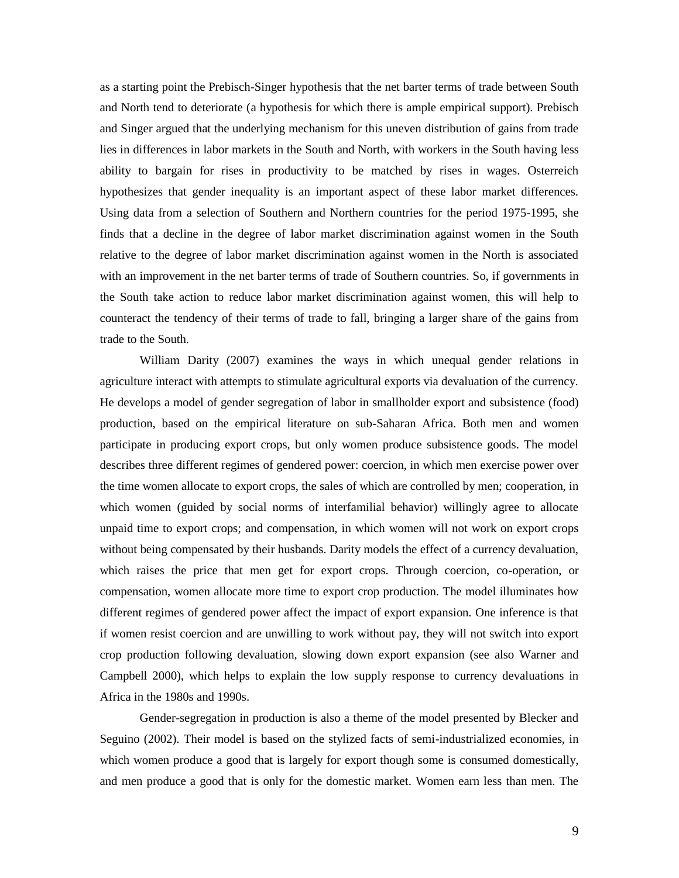as a starting point the Prebisch-Singer hypothesis that the net barter terms of trade between South and North tend to deteriorate (a hypothesis for which there is ample empirical support). Prebisch and Singer argued that the underlying mechanism for this uneven distribution of gains from trade lies in differences in labor markets in the South and North, with workers in the South having less ability to bargain for rises in productivity to be matched by rises in wages. Osterreich hypothesizes that gender inequality is an important aspect of these labor market differences. Using data from a selection of Southern and Northern countries for the period 1975-1995, she finds that a decline in the degree of labor market discrimination against women in the South relative to the degree of labor market discrimination against women in the North is associated with an improvement in the net barter terms of trade of Southern countries. So, if governments in the South take action to reduce labor market discrimination against women, this will help to counteract the tendency of their terms of trade to fall, bringing a larger share of the gains from trade to the South.

William Darity (2007) examines the ways in which unequal gender relations in agriculture interact with attempts to stimulate agricultural exports via devaluation of the currency. He develops a model of gender segregation of labor in smallholder export and subsistence (food) production, based on the empirical literature on sub-Saharan Africa. Both men and women participate in producing export crops, but only women produce subsistence goods. The model describes three different regimes of gendered power: coercion, in which men exercise power over the time women allocate to export crops, the sales of which are controlled by men; cooperation, in which women (guided by social norms of interfamilial behavior) willingly agree to allocate unpaid time to export crops; and compensation, in which women will not work on export crops without being compensated by their husbands. Darity models the effect of a currency devaluation, which raises the price that men get for export crops. Through coercion, co-operation, or compensation, women allocate more time to export crop production. The model illuminates how different regimes of gendered power affect the impact of export expansion. One inference is that if women resist coercion and are unwilling to work without pay, they will not switch into export crop production following devaluation, slowing down export expansion (see also Warner and Campbell 2000), which helps to explain the low supply response to currency devaluations in Africa in the 1980s and 1990s.

Gender-segregation in production is also a theme of the model presented by Blecker and Seguino (2002). Their model is based on the stylized facts of semi-industrialized economies, in which women produce a good that is largely for export though some is consumed domestically, and men produce a good that is only for the domestic market. Women earn less than men. The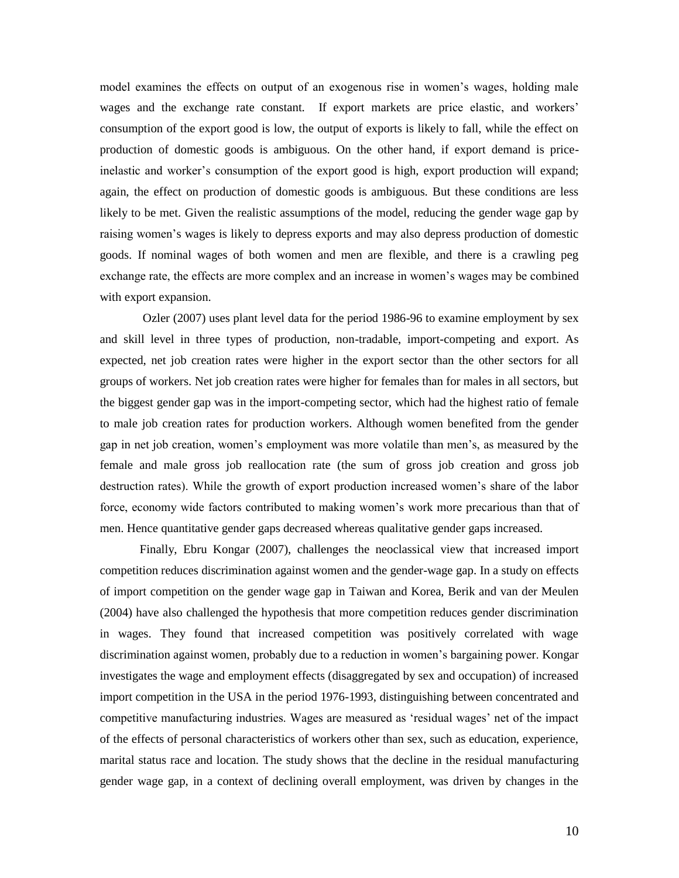model examines the effects on output of an exogenous rise in women's wages, holding male wages and the exchange rate constant. If export markets are price elastic, and workers' consumption of the export good is low, the output of exports is likely to fall, while the effect on production of domestic goods is ambiguous. On the other hand, if export demand is priceinelastic and worker's consumption of the export good is high, export production will expand; again, the effect on production of domestic goods is ambiguous. But these conditions are less likely to be met. Given the realistic assumptions of the model, reducing the gender wage gap by raising women's wages is likely to depress exports and may also depress production of domestic goods. If nominal wages of both women and men are flexible, and there is a crawling peg exchange rate, the effects are more complex and an increase in women's wages may be combined with export expansion.

Ozler (2007) uses plant level data for the period 1986-96 to examine employment by sex and skill level in three types of production, non-tradable, import-competing and export. As expected, net job creation rates were higher in the export sector than the other sectors for all groups of workers. Net job creation rates were higher for females than for males in all sectors, but the biggest gender gap was in the import-competing sector, which had the highest ratio of female to male job creation rates for production workers. Although women benefited from the gender gap in net job creation, women's employment was more volatile than men's, as measured by the female and male gross job reallocation rate (the sum of gross job creation and gross job destruction rates). While the growth of export production increased women's share of the labor force, economy wide factors contributed to making women's work more precarious than that of men. Hence quantitative gender gaps decreased whereas qualitative gender gaps increased.

Finally, Ebru Kongar (2007), challenges the neoclassical view that increased import competition reduces discrimination against women and the gender-wage gap. In a study on effects of import competition on the gender wage gap in Taiwan and Korea, Berik and van der Meulen (2004) have also challenged the hypothesis that more competition reduces gender discrimination in wages. They found that increased competition was positively correlated with wage discrimination against women, probably due to a reduction in women's bargaining power. Kongar investigates the wage and employment effects (disaggregated by sex and occupation) of increased import competition in the USA in the period 1976-1993, distinguishing between concentrated and competitive manufacturing industries. Wages are measured as 'residual wages' net of the impact of the effects of personal characteristics of workers other than sex, such as education, experience, marital status race and location. The study shows that the decline in the residual manufacturing gender wage gap, in a context of declining overall employment, was driven by changes in the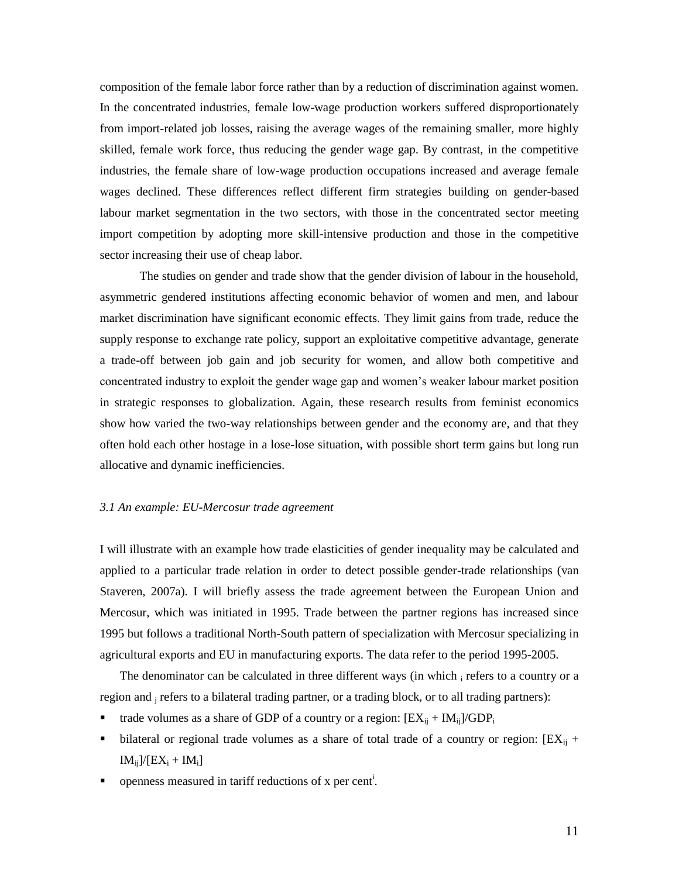composition of the female labor force rather than by a reduction of discrimination against women. In the concentrated industries, female low-wage production workers suffered disproportionately from import-related job losses, raising the average wages of the remaining smaller, more highly skilled, female work force, thus reducing the gender wage gap. By contrast, in the competitive industries, the female share of low-wage production occupations increased and average female wages declined. These differences reflect different firm strategies building on gender-based labour market segmentation in the two sectors, with those in the concentrated sector meeting import competition by adopting more skill-intensive production and those in the competitive sector increasing their use of cheap labor.

The studies on gender and trade show that the gender division of labour in the household, asymmetric gendered institutions affecting economic behavior of women and men, and labour market discrimination have significant economic effects. They limit gains from trade, reduce the supply response to exchange rate policy, support an exploitative competitive advantage, generate a trade-off between job gain and job security for women, and allow both competitive and concentrated industry to exploit the gender wage gap and women's weaker labour market position in strategic responses to globalization. Again, these research results from feminist economics show how varied the two-way relationships between gender and the economy are, and that they often hold each other hostage in a lose-lose situation, with possible short term gains but long run allocative and dynamic inefficiencies.

#### *3.1 An example: EU-Mercosur trade agreement*

I will illustrate with an example how trade elasticities of gender inequality may be calculated and applied to a particular trade relation in order to detect possible gender-trade relationships (van Staveren, 2007a). I will briefly assess the trade agreement between the European Union and Mercosur, which was initiated in 1995. Trade between the partner regions has increased since 1995 but follows a traditional North-South pattern of specialization with Mercosur specializing in agricultural exports and EU in manufacturing exports. The data refer to the period 1995-2005.

The denominator can be calculated in three different ways (in which i refers to a country or a region and <sup>j</sup> refers to a bilateral trading partner, or a trading block, or to all trading partners):

- trade volumes as a share of GDP of a country or a region:  $[EX_{ij} + IM_{ij}]/GDP_i$
- $\bullet$  bilateral or regional trade volumes as a share of total trade of a country or region:  $[EX_{ii} +$  $IM_{ii}]/[EX_i + IM_i]$
- $\blacksquare$  openness measured in tariff reductions of x per cent<sup>i</sup>.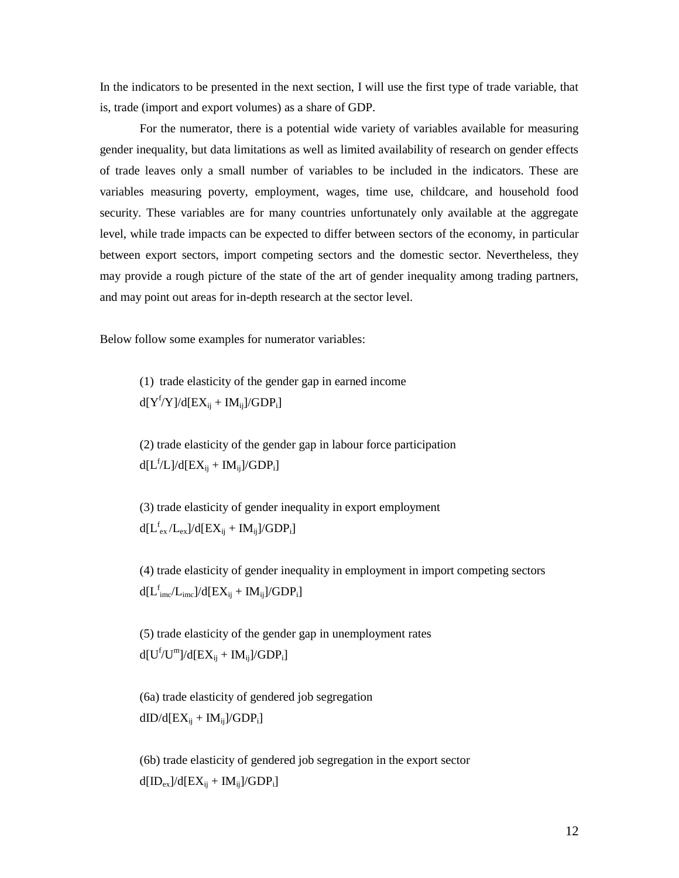In the indicators to be presented in the next section, I will use the first type of trade variable, that is, trade (import and export volumes) as a share of GDP.

For the numerator, there is a potential wide variety of variables available for measuring gender inequality, but data limitations as well as limited availability of research on gender effects of trade leaves only a small number of variables to be included in the indicators. These are variables measuring poverty, employment, wages, time use, childcare, and household food security. These variables are for many countries unfortunately only available at the aggregate level, while trade impacts can be expected to differ between sectors of the economy, in particular between export sectors, import competing sectors and the domestic sector. Nevertheless, they may provide a rough picture of the state of the art of gender inequality among trading partners, and may point out areas for in-depth research at the sector level.

Below follow some examples for numerator variables:

(1) trade elasticity of the gender gap in earned income  $d[Y^f/Y]/d[EX_{ij} + IM_{ij}]/GDP_i]$ 

(2) trade elasticity of the gender gap in labour force participation  $d[L<sup>f</sup>/L]/d[EX_{ij} + IM_{ij}]/GDP_i]$ 

(3) trade elasticity of gender inequality in export employment  $d[L_{ex}^f/L_{ex}]/d[EX_{ij} + IM_{ij}]/GDP_i]$ 

(4) trade elasticity of gender inequality in employment in import competing sectors  $\rm d[L_{\rm inc}^{\rm f}/L_{\rm inc}]/d[EX_{ij}+IM_{ij}]/GDP_i]$ 

(5) trade elasticity of the gender gap in unemployment rates  $\rm d[U^f\!/\!U^m\!/\!d[EX_{ij}+IM_{ij}]\!/\!GDP_i]$ 

(6a) trade elasticity of gendered job segregation  $dID/d[EX_{ij} + IM_{ij}]/GDP_i]$ 

(6b) trade elasticity of gendered job segregation in the export sector  $d[ID_{ex}]/d[EX_{ii} + IM_{ii}]/GDP_i]$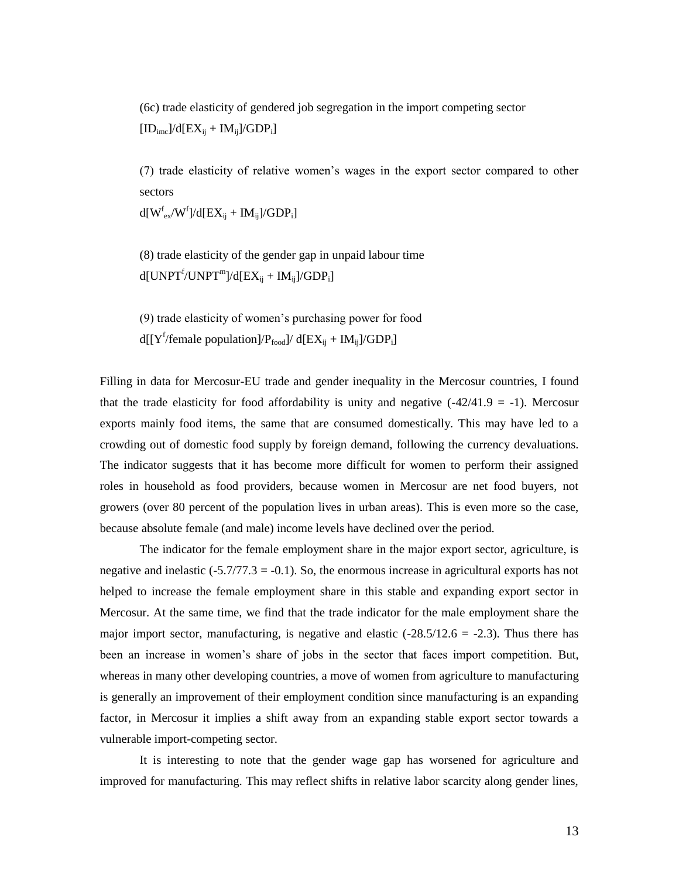(6c) trade elasticity of gendered job segregation in the import competing sector  $[ID<sub>ime</sub>]/d[EX<sub>ii</sub> + IM<sub>ii</sub>]/GDP<sub>i</sub>]$ 

(7) trade elasticity of relative women's wages in the export sector compared to other sectors

 $\rm d [W_{ex}^{f}/W^{f}]/d [EX_{ij}+IM_{ij}]/GDP_i]$ 

(8) trade elasticity of the gender gap in unpaid labour time  $\mathrm{d} \text{[UNPT}^{\mathrm{f}}\text{/}\text{UNPT}^{\mathrm{m}}\text{]/}\mathrm{d} \text{[EX}_{\mathrm{ij}} + \text{IM}_{\mathrm{ij}}\text{]/}\text{GDP}_{\mathrm{i}}\text{]}$ 

(9) trade elasticity of women's purchasing power for food d[[Y<sup>f</sup>/female population]/ $P_{\text{food}}$ ]/ d[EX<sub>ij</sub> + IM<sub>ij</sub>]/GDP<sub>i</sub>]

Filling in data for Mercosur-EU trade and gender inequality in the Mercosur countries, I found that the trade elasticity for food affordability is unity and negative  $(-42/41.9 = -1)$ . Mercosur exports mainly food items, the same that are consumed domestically. This may have led to a crowding out of domestic food supply by foreign demand, following the currency devaluations. The indicator suggests that it has become more difficult for women to perform their assigned roles in household as food providers, because women in Mercosur are net food buyers, not growers (over 80 percent of the population lives in urban areas). This is even more so the case, because absolute female (and male) income levels have declined over the period.

The indicator for the female employment share in the major export sector, agriculture, is negative and inelastic  $(-5.7/77.3 = -0.1)$ . So, the enormous increase in agricultural exports has not helped to increase the female employment share in this stable and expanding export sector in Mercosur. At the same time, we find that the trade indicator for the male employment share the major import sector, manufacturing, is negative and elastic  $(-28.5/12.6 = -2.3)$ . Thus there has been an increase in women's share of jobs in the sector that faces import competition. But, whereas in many other developing countries, a move of women from agriculture to manufacturing is generally an improvement of their employment condition since manufacturing is an expanding factor, in Mercosur it implies a shift away from an expanding stable export sector towards a vulnerable import-competing sector.

It is interesting to note that the gender wage gap has worsened for agriculture and improved for manufacturing. This may reflect shifts in relative labor scarcity along gender lines,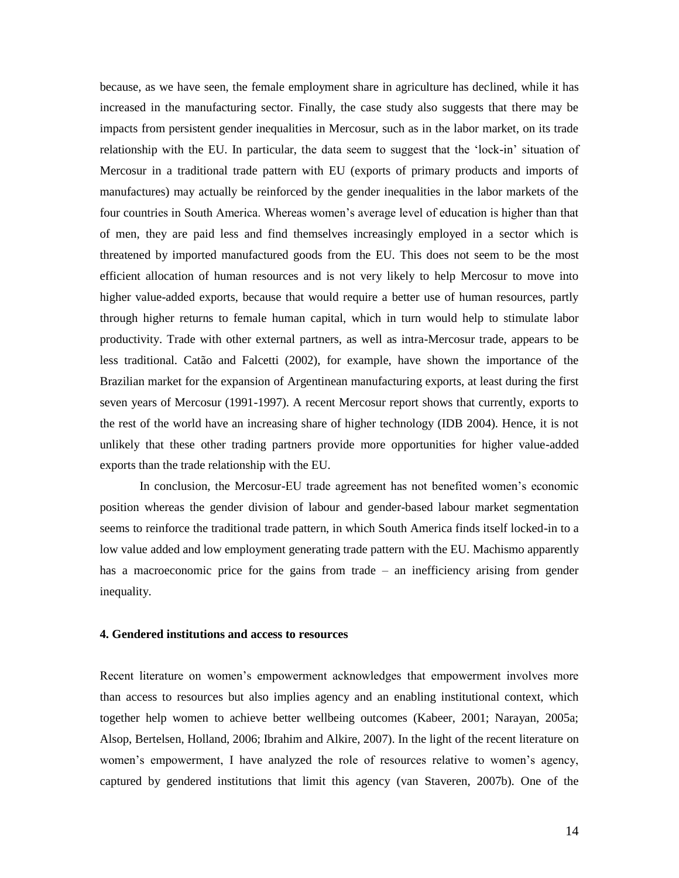because, as we have seen, the female employment share in agriculture has declined, while it has increased in the manufacturing sector. Finally, the case study also suggests that there may be impacts from persistent gender inequalities in Mercosur, such as in the labor market, on its trade relationship with the EU. In particular, the data seem to suggest that the 'lock-in' situation of Mercosur in a traditional trade pattern with EU (exports of primary products and imports of manufactures) may actually be reinforced by the gender inequalities in the labor markets of the four countries in South America. Whereas women's average level of education is higher than that of men, they are paid less and find themselves increasingly employed in a sector which is threatened by imported manufactured goods from the EU. This does not seem to be the most efficient allocation of human resources and is not very likely to help Mercosur to move into higher value-added exports, because that would require a better use of human resources, partly through higher returns to female human capital, which in turn would help to stimulate labor productivity. Trade with other external partners, as well as intra-Mercosur trade, appears to be less traditional. Catão and Falcetti (2002), for example, have shown the importance of the Brazilian market for the expansion of Argentinean manufacturing exports, at least during the first seven years of Mercosur (1991-1997). A recent Mercosur report shows that currently, exports to the rest of the world have an increasing share of higher technology (IDB 2004). Hence, it is not unlikely that these other trading partners provide more opportunities for higher value-added exports than the trade relationship with the EU.

In conclusion, the Mercosur-EU trade agreement has not benefited women's economic position whereas the gender division of labour and gender-based labour market segmentation seems to reinforce the traditional trade pattern, in which South America finds itself locked-in to a low value added and low employment generating trade pattern with the EU. Machismo apparently has a macroeconomic price for the gains from trade – an inefficiency arising from gender inequality.

### **4. Gendered institutions and access to resources**

Recent literature on women's empowerment acknowledges that empowerment involves more than access to resources but also implies agency and an enabling institutional context, which together help women to achieve better wellbeing outcomes (Kabeer, 2001; Narayan, 2005a; Alsop, Bertelsen, Holland, 2006; Ibrahim and Alkire, 2007). In the light of the recent literature on women's empowerment, I have analyzed the role of resources relative to women's agency, captured by gendered institutions that limit this agency (van Staveren, 2007b). One of the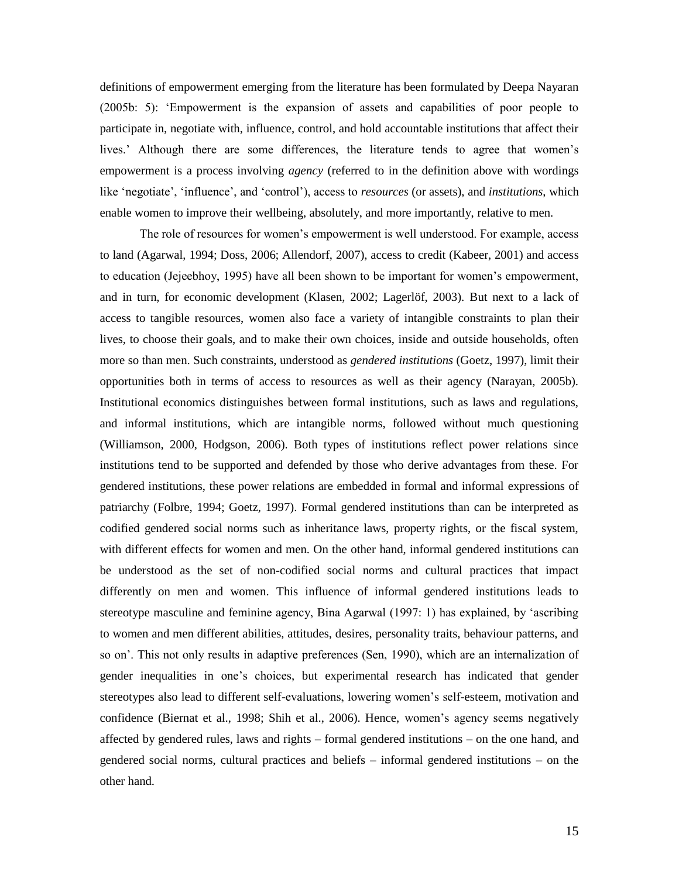definitions of empowerment emerging from the literature has been formulated by Deepa Nayaran (2005b: 5): 'Empowerment is the expansion of assets and capabilities of poor people to participate in, negotiate with, influence, control, and hold accountable institutions that affect their lives.' Although there are some differences, the literature tends to agree that women's empowerment is a process involving *agency* (referred to in the definition above with wordings like 'negotiate', 'influence', and 'control'), access to *resources* (or assets), and *institutions*, which enable women to improve their wellbeing, absolutely, and more importantly, relative to men.

The role of resources for women's empowerment is well understood. For example, access to land (Agarwal, 1994; Doss, 2006; Allendorf, 2007), access to credit (Kabeer, 2001) and access to education (Jejeebhoy, 1995) have all been shown to be important for women's empowerment, and in turn, for economic development (Klasen, 2002; Lagerlöf, 2003). But next to a lack of access to tangible resources, women also face a variety of intangible constraints to plan their lives, to choose their goals, and to make their own choices, inside and outside households, often more so than men. Such constraints, understood as *gendered institutions* (Goetz, 1997), limit their opportunities both in terms of access to resources as well as their agency (Narayan, 2005b). Institutional economics distinguishes between formal institutions, such as laws and regulations, and informal institutions, which are intangible norms, followed without much questioning (Williamson, 2000, Hodgson, 2006). Both types of institutions reflect power relations since institutions tend to be supported and defended by those who derive advantages from these. For gendered institutions, these power relations are embedded in formal and informal expressions of patriarchy (Folbre, 1994; Goetz, 1997). Formal gendered institutions than can be interpreted as codified gendered social norms such as inheritance laws, property rights, or the fiscal system, with different effects for women and men. On the other hand, informal gendered institutions can be understood as the set of non-codified social norms and cultural practices that impact differently on men and women. This influence of informal gendered institutions leads to stereotype masculine and feminine agency, Bina Agarwal (1997: 1) has explained, by 'ascribing to women and men different abilities, attitudes, desires, personality traits, behaviour patterns, and so on'. This not only results in adaptive preferences (Sen, 1990), which are an internalization of gender inequalities in one's choices, but experimental research has indicated that gender stereotypes also lead to different self-evaluations, lowering women's self-esteem, motivation and confidence (Biernat et al., 1998; Shih et al., 2006). Hence, women's agency seems negatively affected by gendered rules, laws and rights – formal gendered institutions – on the one hand, and gendered social norms, cultural practices and beliefs – informal gendered institutions – on the other hand.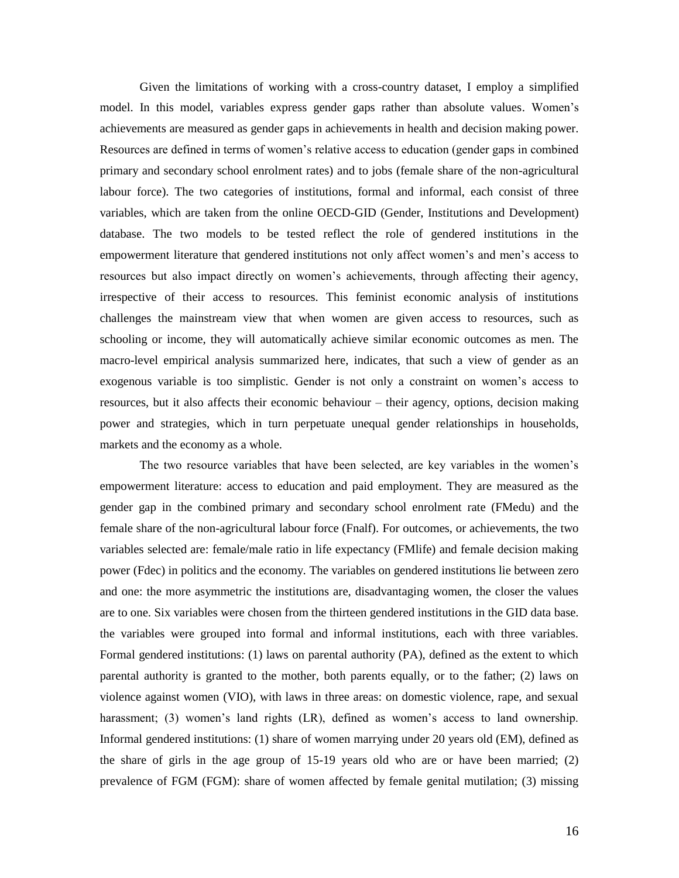Given the limitations of working with a cross-country dataset, I employ a simplified model. In this model, variables express gender gaps rather than absolute values. Women's achievements are measured as gender gaps in achievements in health and decision making power. Resources are defined in terms of women's relative access to education (gender gaps in combined primary and secondary school enrolment rates) and to jobs (female share of the non-agricultural labour force). The two categories of institutions, formal and informal, each consist of three variables, which are taken from the online OECD-GID (Gender, Institutions and Development) database. The two models to be tested reflect the role of gendered institutions in the empowerment literature that gendered institutions not only affect women's and men's access to resources but also impact directly on women's achievements, through affecting their agency, irrespective of their access to resources. This feminist economic analysis of institutions challenges the mainstream view that when women are given access to resources, such as schooling or income, they will automatically achieve similar economic outcomes as men. The macro-level empirical analysis summarized here, indicates, that such a view of gender as an exogenous variable is too simplistic. Gender is not only a constraint on women's access to resources, but it also affects their economic behaviour – their agency, options, decision making power and strategies, which in turn perpetuate unequal gender relationships in households, markets and the economy as a whole.

The two resource variables that have been selected, are key variables in the women's empowerment literature: access to education and paid employment. They are measured as the gender gap in the combined primary and secondary school enrolment rate (FMedu) and the female share of the non-agricultural labour force (Fnalf). For outcomes, or achievements, the two variables selected are: female/male ratio in life expectancy (FMlife) and female decision making power (Fdec) in politics and the economy. The variables on gendered institutions lie between zero and one: the more asymmetric the institutions are, disadvantaging women, the closer the values are to one. Six variables were chosen from the thirteen gendered institutions in the GID data base. the variables were grouped into formal and informal institutions, each with three variables. Formal gendered institutions: (1) laws on parental authority (PA), defined as the extent to which parental authority is granted to the mother, both parents equally, or to the father; (2) laws on violence against women (VIO), with laws in three areas: on domestic violence, rape, and sexual harassment; (3) women's land rights (LR), defined as women's access to land ownership. Informal gendered institutions: (1) share of women marrying under 20 years old (EM), defined as the share of girls in the age group of 15-19 years old who are or have been married; (2) prevalence of FGM (FGM): share of women affected by female genital mutilation; (3) missing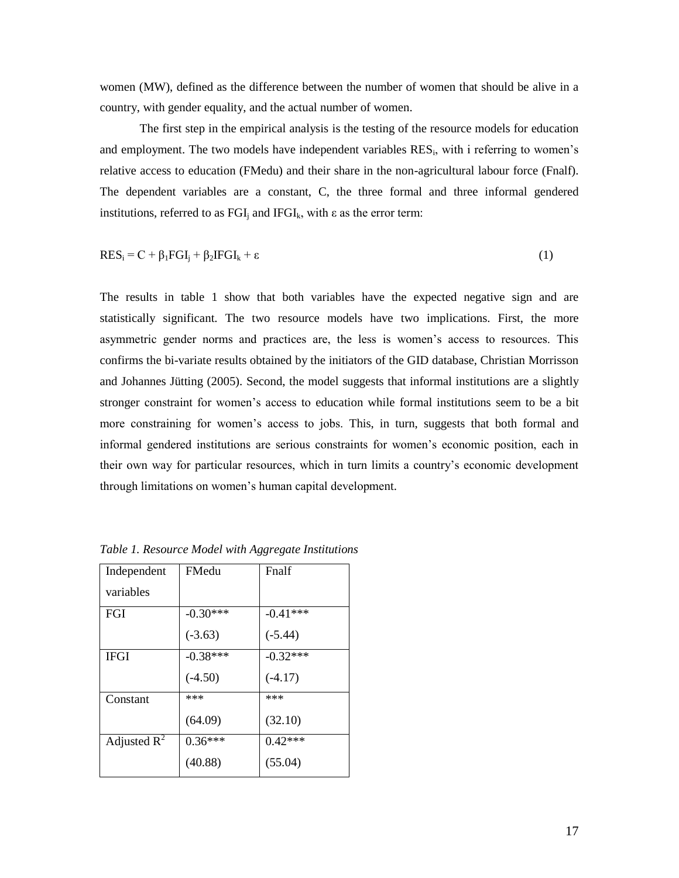women (MW), defined as the difference between the number of women that should be alive in a country, with gender equality, and the actual number of women.

The first step in the empirical analysis is the testing of the resource models for education and employment. The two models have independent variables  $RES_i$ , with i referring to women's relative access to education (FMedu) and their share in the non-agricultural labour force (Fnalf). The dependent variables are a constant, C, the three formal and three informal gendered institutions, referred to as  $FGI_i$  and  $IFGI_k$ , with  $\varepsilon$  as the error term:

$$
RES_i = C + \beta_1 FGI_i + \beta_2 IFGI_k + \varepsilon
$$
\n(1)

The results in table 1 show that both variables have the expected negative sign and are statistically significant. The two resource models have two implications. First, the more asymmetric gender norms and practices are, the less is women's access to resources. This confirms the bi-variate results obtained by the initiators of the GID database, Christian Morrisson and Johannes Jütting (2005). Second, the model suggests that informal institutions are a slightly stronger constraint for women's access to education while formal institutions seem to be a bit more constraining for women's access to jobs. This, in turn, suggests that both formal and informal gendered institutions are serious constraints for women's economic position, each in their own way for particular resources, which in turn limits a country's economic development through limitations on women's human capital development.

| Independent             | FMedu      | Fnalf      |
|-------------------------|------------|------------|
| variables               |            |            |
| FGI                     | $-0.30***$ | $-0.41***$ |
|                         | $(-3.63)$  | $(-5.44)$  |
| <b>IFGI</b>             | $-0.38***$ | $-0.32***$ |
|                         | $(-4.50)$  | $(-4.17)$  |
| Constant                | ***        | ***        |
|                         | (64.09)    | (32.10)    |
| Adjusted $\mathbb{R}^2$ | $0.36***$  | $0.42***$  |
|                         | (40.88)    | (55.04)    |

*Table 1. Resource Model with Aggregate Institutions*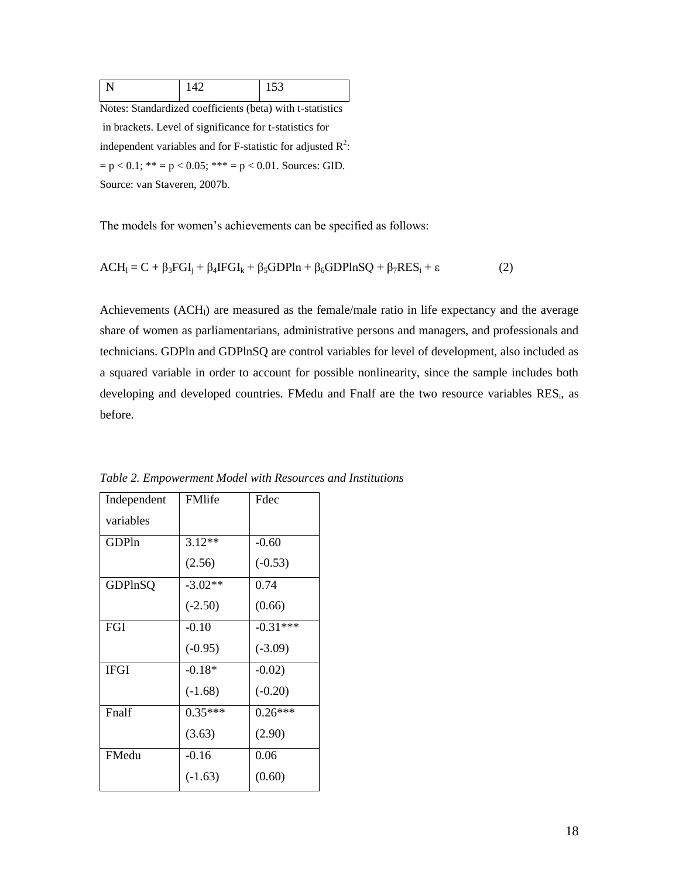|  | - - - | $\sim$ $\sim$<br>. |
|--|-------|--------------------|
|--|-------|--------------------|

Notes: Standardized coefficients (beta) with t-statistics in brackets. Level of significance for t-statistics for independent variables and for F-statistic for adjusted  $R^2$ :  $= p < 0.1$ ; \*\*  $= p < 0.05$ ; \*\*\*  $= p < 0.01$ . Sources: GID. Source: van Staveren, 2007b.

The models for women's achievements can be specified as follows:

$$
ACH1 = C + \beta_3 FGIj + \beta_4 IFGIk + \beta_5 GDPIn + \beta_6 GDPInSQ + \beta_7 RESi + \varepsilon
$$
 (2)

Achievements (ACH<sub>1</sub>) are measured as the female/male ratio in life expectancy and the average share of women as parliamentarians, administrative persons and managers, and professionals and technicians. GDPln and GDPlnSQ are control variables for level of development, also included as a squared variable in order to account for possible nonlinearity, since the sample includes both developing and developed countries. FMedu and Fnalf are the two resource variables RES<sub>i</sub>, as before.

| Independent | <b>FMlife</b> | Fdec       |
|-------------|---------------|------------|
| variables   |               |            |
| GDPln       | $3.12**$      | $-0.60$    |
|             | (2.56)        | $(-0.53)$  |
| GDPlnSQ     | $-3.02**$     | 0.74       |
|             | $(-2.50)$     | (0.66)     |
| FGI         | $-0.10$       | $-0.31***$ |
|             | $(-0.95)$     | $(-3.09)$  |
| <b>IFGI</b> | $-0.18*$      | $-0.02$ )  |
|             | $(-1.68)$     | $(-0.20)$  |
| Fnalf       | $0.35***$     | $0.26***$  |
|             | (3.63)        | (2.90)     |
| FMedu       | $-0.16$       | 0.06       |
|             | $(-1.63)$     | (0.60)     |

*Table 2. Empowerment Model with Resources and Institutions*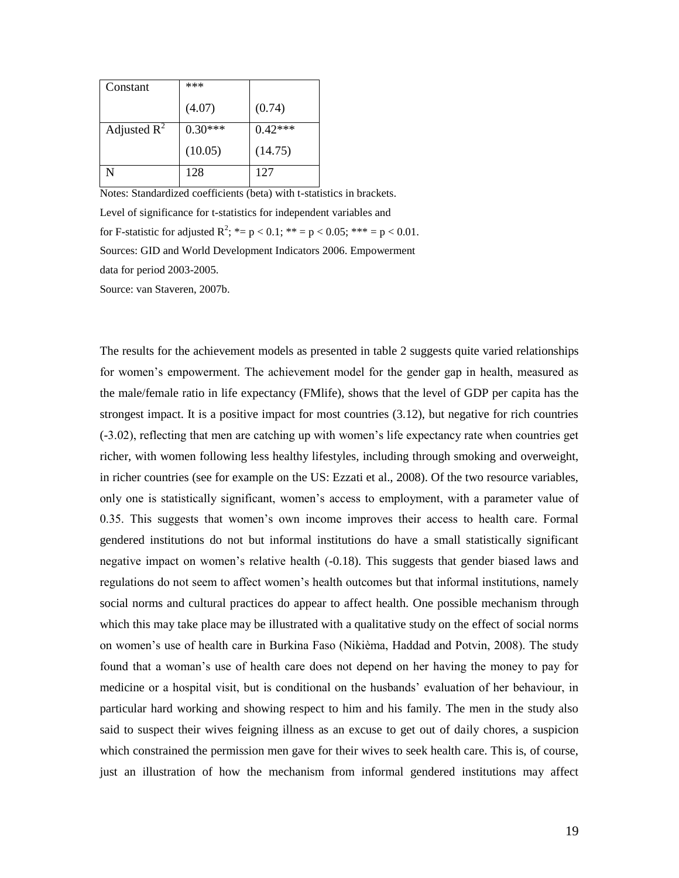| Constant       | ***       |           |
|----------------|-----------|-----------|
|                | (4.07)    | (0.74)    |
| Adjusted $R^2$ | $0.30***$ | $0.42***$ |
|                | (10.05)   | (14.75)   |
| N              | 128       | 127       |

Notes: Standardized coefficients (beta) with t-statistics in brackets. Level of significance for t-statistics for independent variables and for F-statistic for adjusted  $R^2$ ;  $* = p < 0.1$ ;  $** = p < 0.05$ ;  $*** = p < 0.01$ . Sources: GID and World Development Indicators 2006. Empowerment data for period 2003-2005.

Source: van Staveren, 2007b.

The results for the achievement models as presented in table 2 suggests quite varied relationships for women's empowerment. The achievement model for the gender gap in health, measured as the male/female ratio in life expectancy (FMlife), shows that the level of GDP per capita has the strongest impact. It is a positive impact for most countries (3.12), but negative for rich countries (-3.02), reflecting that men are catching up with women's life expectancy rate when countries get richer, with women following less healthy lifestyles, including through smoking and overweight, in richer countries (see for example on the US: Ezzati et al., 2008). Of the two resource variables, only one is statistically significant, women's access to employment, with a parameter value of 0.35. This suggests that women's own income improves their access to health care. Formal gendered institutions do not but informal institutions do have a small statistically significant negative impact on women's relative health (-0.18). This suggests that gender biased laws and regulations do not seem to affect women's health outcomes but that informal institutions, namely social norms and cultural practices do appear to affect health. One possible mechanism through which this may take place may be illustrated with a qualitative study on the effect of social norms on women's use of health care in Burkina Faso (Nikièma, Haddad and Potvin, 2008). The study found that a woman's use of health care does not depend on her having the money to pay for medicine or a hospital visit, but is conditional on the husbands' evaluation of her behaviour, in particular hard working and showing respect to him and his family. The men in the study also said to suspect their wives feigning illness as an excuse to get out of daily chores, a suspicion which constrained the permission men gave for their wives to seek health care. This is, of course, just an illustration of how the mechanism from informal gendered institutions may affect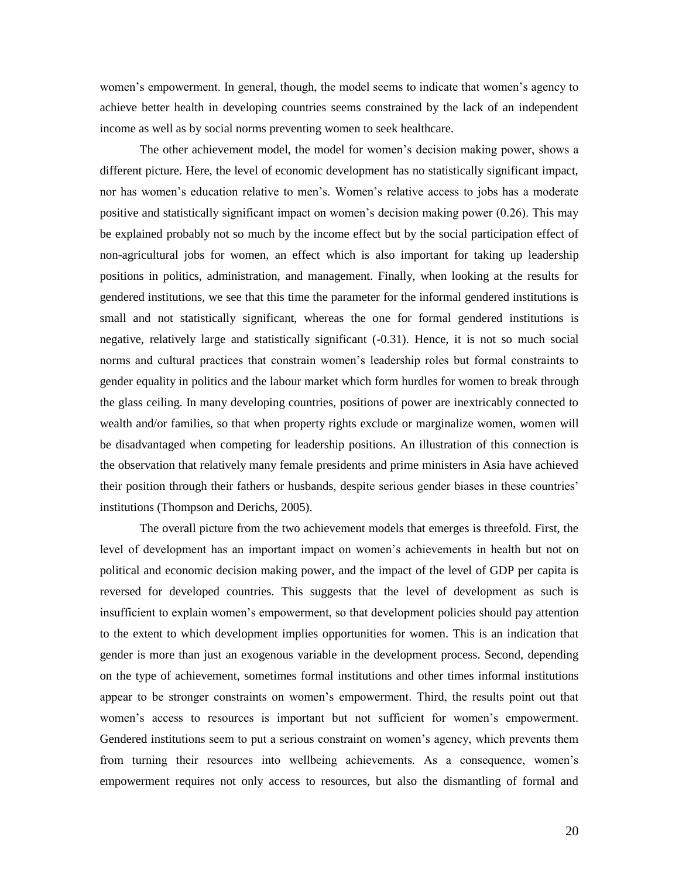women's empowerment. In general, though, the model seems to indicate that women's agency to achieve better health in developing countries seems constrained by the lack of an independent income as well as by social norms preventing women to seek healthcare.

The other achievement model, the model for women's decision making power, shows a different picture. Here, the level of economic development has no statistically significant impact, nor has women's education relative to men's. Women's relative access to jobs has a moderate positive and statistically significant impact on women's decision making power (0.26). This may be explained probably not so much by the income effect but by the social participation effect of non-agricultural jobs for women, an effect which is also important for taking up leadership positions in politics, administration, and management. Finally, when looking at the results for gendered institutions, we see that this time the parameter for the informal gendered institutions is small and not statistically significant, whereas the one for formal gendered institutions is negative, relatively large and statistically significant (-0.31). Hence, it is not so much social norms and cultural practices that constrain women's leadership roles but formal constraints to gender equality in politics and the labour market which form hurdles for women to break through the glass ceiling. In many developing countries, positions of power are inextricably connected to wealth and/or families, so that when property rights exclude or marginalize women, women will be disadvantaged when competing for leadership positions. An illustration of this connection is the observation that relatively many female presidents and prime ministers in Asia have achieved their position through their fathers or husbands, despite serious gender biases in these countries' institutions (Thompson and Derichs, 2005).

The overall picture from the two achievement models that emerges is threefold. First, the level of development has an important impact on women's achievements in health but not on political and economic decision making power, and the impact of the level of GDP per capita is reversed for developed countries. This suggests that the level of development as such is insufficient to explain women's empowerment, so that development policies should pay attention to the extent to which development implies opportunities for women. This is an indication that gender is more than just an exogenous variable in the development process. Second, depending on the type of achievement, sometimes formal institutions and other times informal institutions appear to be stronger constraints on women's empowerment. Third, the results point out that women's access to resources is important but not sufficient for women's empowerment. Gendered institutions seem to put a serious constraint on women's agency, which prevents them from turning their resources into wellbeing achievements. As a consequence, women's empowerment requires not only access to resources, but also the dismantling of formal and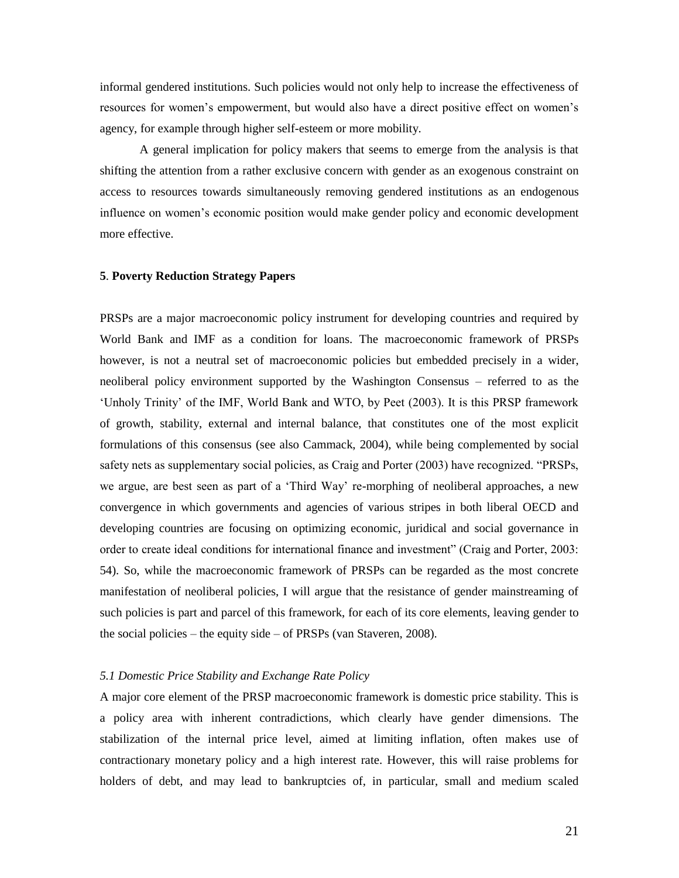informal gendered institutions. Such policies would not only help to increase the effectiveness of resources for women's empowerment, but would also have a direct positive effect on women's agency, for example through higher self-esteem or more mobility.

A general implication for policy makers that seems to emerge from the analysis is that shifting the attention from a rather exclusive concern with gender as an exogenous constraint on access to resources towards simultaneously removing gendered institutions as an endogenous influence on women's economic position would make gender policy and economic development more effective.

#### **5**. **Poverty Reduction Strategy Papers**

PRSPs are a major macroeconomic policy instrument for developing countries and required by World Bank and IMF as a condition for loans. The macroeconomic framework of PRSPs however, is not a neutral set of macroeconomic policies but embedded precisely in a wider, neoliberal policy environment supported by the Washington Consensus – referred to as the 'Unholy Trinity' of the IMF, World Bank and WTO, by Peet (2003). It is this PRSP framework of growth, stability, external and internal balance, that constitutes one of the most explicit formulations of this consensus (see also Cammack, 2004), while being complemented by social safety nets as supplementary social policies, as Craig and Porter (2003) have recognized. "PRSPs, we argue, are best seen as part of a 'Third Way' re-morphing of neoliberal approaches, a new convergence in which governments and agencies of various stripes in both liberal OECD and developing countries are focusing on optimizing economic, juridical and social governance in order to create ideal conditions for international finance and investment" (Craig and Porter, 2003: 54). So, while the macroeconomic framework of PRSPs can be regarded as the most concrete manifestation of neoliberal policies, I will argue that the resistance of gender mainstreaming of such policies is part and parcel of this framework, for each of its core elements, leaving gender to the social policies – the equity side – of PRSPs (van Staveren, 2008).

#### *5.1 Domestic Price Stability and Exchange Rate Policy*

A major core element of the PRSP macroeconomic framework is domestic price stability. This is a policy area with inherent contradictions, which clearly have gender dimensions. The stabilization of the internal price level, aimed at limiting inflation, often makes use of contractionary monetary policy and a high interest rate. However, this will raise problems for holders of debt, and may lead to bankruptcies of, in particular, small and medium scaled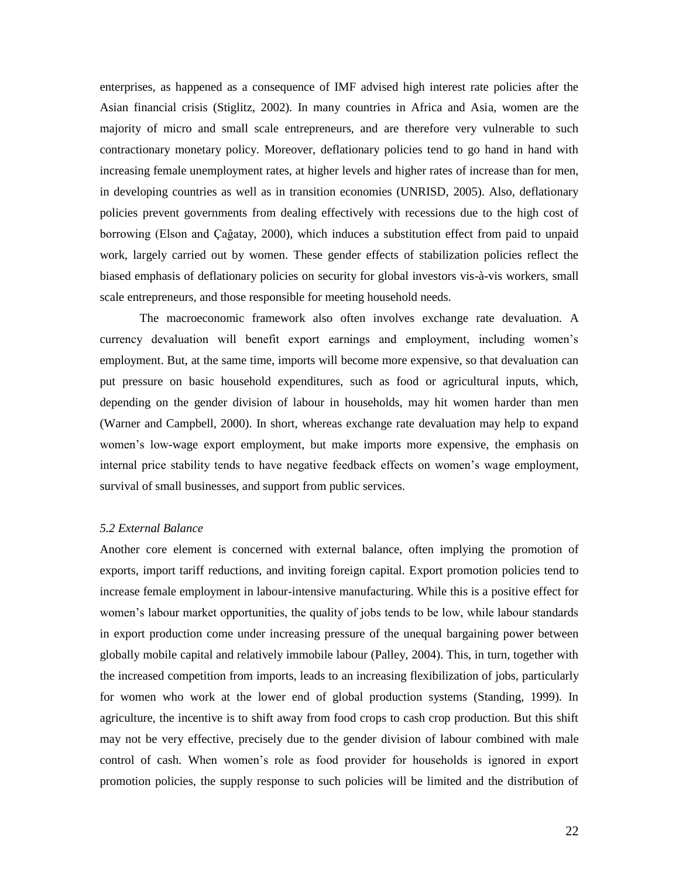enterprises, as happened as a consequence of IMF advised high interest rate policies after the Asian financial crisis (Stiglitz, 2002). In many countries in Africa and Asia, women are the majority of micro and small scale entrepreneurs, and are therefore very vulnerable to such contractionary monetary policy. Moreover, deflationary policies tend to go hand in hand with increasing female unemployment rates, at higher levels and higher rates of increase than for men, in developing countries as well as in transition economies (UNRISD, 2005). Also, deflationary policies prevent governments from dealing effectively with recessions due to the high cost of borrowing (Elson and Çaĝatay, 2000), which induces a substitution effect from paid to unpaid work, largely carried out by women. These gender effects of stabilization policies reflect the biased emphasis of deflationary policies on security for global investors vis-à-vis workers, small scale entrepreneurs, and those responsible for meeting household needs.

The macroeconomic framework also often involves exchange rate devaluation. A currency devaluation will benefit export earnings and employment, including women's employment. But, at the same time, imports will become more expensive, so that devaluation can put pressure on basic household expenditures, such as food or agricultural inputs, which, depending on the gender division of labour in households, may hit women harder than men (Warner and Campbell, 2000). In short, whereas exchange rate devaluation may help to expand women's low-wage export employment, but make imports more expensive, the emphasis on internal price stability tends to have negative feedback effects on women's wage employment, survival of small businesses, and support from public services.

#### *5.2 External Balance*

Another core element is concerned with external balance, often implying the promotion of exports, import tariff reductions, and inviting foreign capital. Export promotion policies tend to increase female employment in labour-intensive manufacturing. While this is a positive effect for women's labour market opportunities, the quality of jobs tends to be low, while labour standards in export production come under increasing pressure of the unequal bargaining power between globally mobile capital and relatively immobile labour (Palley, 2004). This, in turn, together with the increased competition from imports, leads to an increasing flexibilization of jobs, particularly for women who work at the lower end of global production systems (Standing, 1999). In agriculture, the incentive is to shift away from food crops to cash crop production. But this shift may not be very effective, precisely due to the gender division of labour combined with male control of cash. When women's role as food provider for households is ignored in export promotion policies, the supply response to such policies will be limited and the distribution of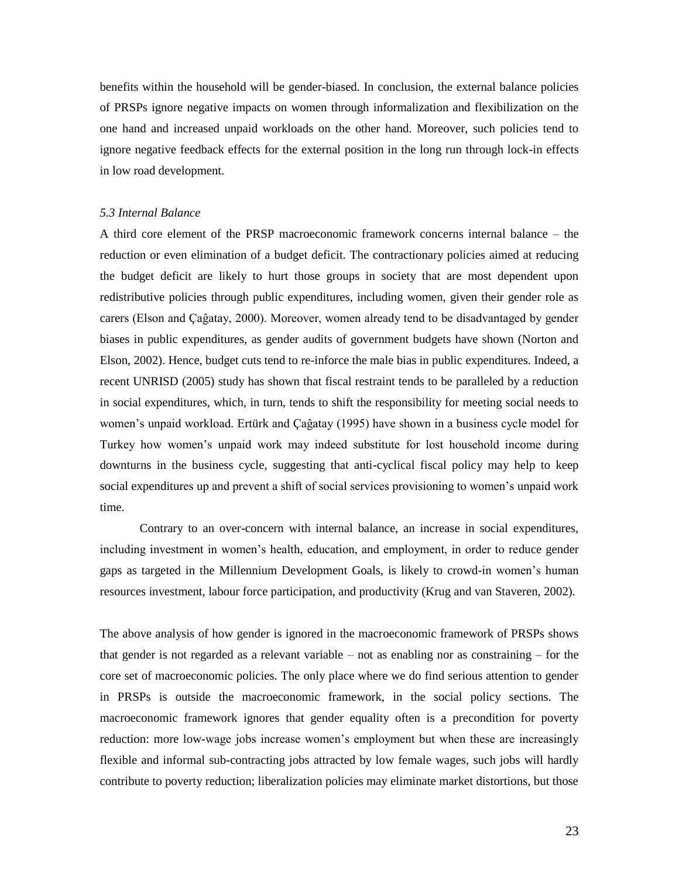benefits within the household will be gender-biased. In conclusion, the external balance policies of PRSPs ignore negative impacts on women through informalization and flexibilization on the one hand and increased unpaid workloads on the other hand. Moreover, such policies tend to ignore negative feedback effects for the external position in the long run through lock-in effects in low road development.

#### *5.3 Internal Balance*

A third core element of the PRSP macroeconomic framework concerns internal balance – the reduction or even elimination of a budget deficit. The contractionary policies aimed at reducing the budget deficit are likely to hurt those groups in society that are most dependent upon redistributive policies through public expenditures, including women, given their gender role as carers (Elson and Çaĝatay, 2000). Moreover, women already tend to be disadvantaged by gender biases in public expenditures, as gender audits of government budgets have shown (Norton and Elson, 2002). Hence, budget cuts tend to re-inforce the male bias in public expenditures. Indeed, a recent UNRISD (2005) study has shown that fiscal restraint tends to be paralleled by a reduction in social expenditures, which, in turn, tends to shift the responsibility for meeting social needs to women's unpaid workload. Ertürk and Çaĝatay (1995) have shown in a business cycle model for Turkey how women's unpaid work may indeed substitute for lost household income during downturns in the business cycle, suggesting that anti-cyclical fiscal policy may help to keep social expenditures up and prevent a shift of social services provisioning to women's unpaid work time.

Contrary to an over-concern with internal balance, an increase in social expenditures, including investment in women's health, education, and employment, in order to reduce gender gaps as targeted in the Millennium Development Goals, is likely to crowd-in women's human resources investment, labour force participation, and productivity (Krug and van Staveren, 2002).

The above analysis of how gender is ignored in the macroeconomic framework of PRSPs shows that gender is not regarded as a relevant variable – not as enabling nor as constraining – for the core set of macroeconomic policies. The only place where we do find serious attention to gender in PRSPs is outside the macroeconomic framework, in the social policy sections. The macroeconomic framework ignores that gender equality often is a precondition for poverty reduction: more low-wage jobs increase women's employment but when these are increasingly flexible and informal sub-contracting jobs attracted by low female wages, such jobs will hardly contribute to poverty reduction; liberalization policies may eliminate market distortions, but those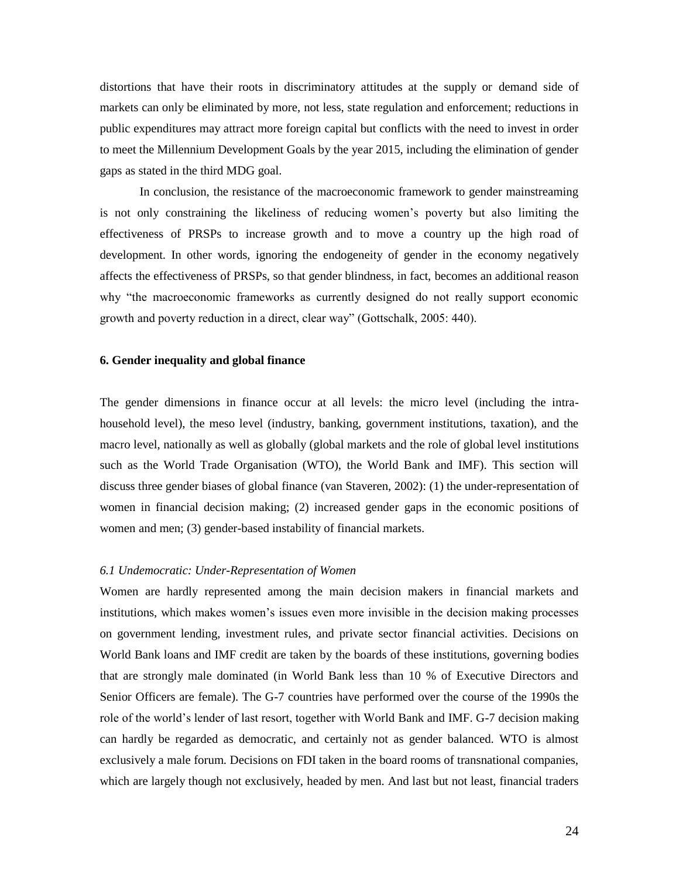distortions that have their roots in discriminatory attitudes at the supply or demand side of markets can only be eliminated by more, not less, state regulation and enforcement; reductions in public expenditures may attract more foreign capital but conflicts with the need to invest in order to meet the Millennium Development Goals by the year 2015, including the elimination of gender gaps as stated in the third MDG goal.

In conclusion, the resistance of the macroeconomic framework to gender mainstreaming is not only constraining the likeliness of reducing women's poverty but also limiting the effectiveness of PRSPs to increase growth and to move a country up the high road of development. In other words, ignoring the endogeneity of gender in the economy negatively affects the effectiveness of PRSPs, so that gender blindness, in fact, becomes an additional reason why "the macroeconomic frameworks as currently designed do not really support economic growth and poverty reduction in a direct, clear way" (Gottschalk, 2005: 440).

#### **6. Gender inequality and global finance**

The gender dimensions in finance occur at all levels: the micro level (including the intrahousehold level), the meso level (industry, banking, government institutions, taxation), and the macro level, nationally as well as globally (global markets and the role of global level institutions such as the World Trade Organisation (WTO), the World Bank and IMF). This section will discuss three gender biases of global finance (van Staveren, 2002): (1) the under-representation of women in financial decision making; (2) increased gender gaps in the economic positions of women and men; (3) gender-based instability of financial markets.

#### *6.1 Undemocratic: Under-Representation of Women*

Women are hardly represented among the main decision makers in financial markets and institutions, which makes women's issues even more invisible in the decision making processes on government lending, investment rules, and private sector financial activities. Decisions on World Bank loans and IMF credit are taken by the boards of these institutions, governing bodies that are strongly male dominated (in World Bank less than 10 % of Executive Directors and Senior Officers are female). The G-7 countries have performed over the course of the 1990s the role of the world's lender of last resort, together with World Bank and IMF. G-7 decision making can hardly be regarded as democratic, and certainly not as gender balanced. WTO is almost exclusively a male forum. Decisions on FDI taken in the board rooms of transnational companies, which are largely though not exclusively, headed by men. And last but not least, financial traders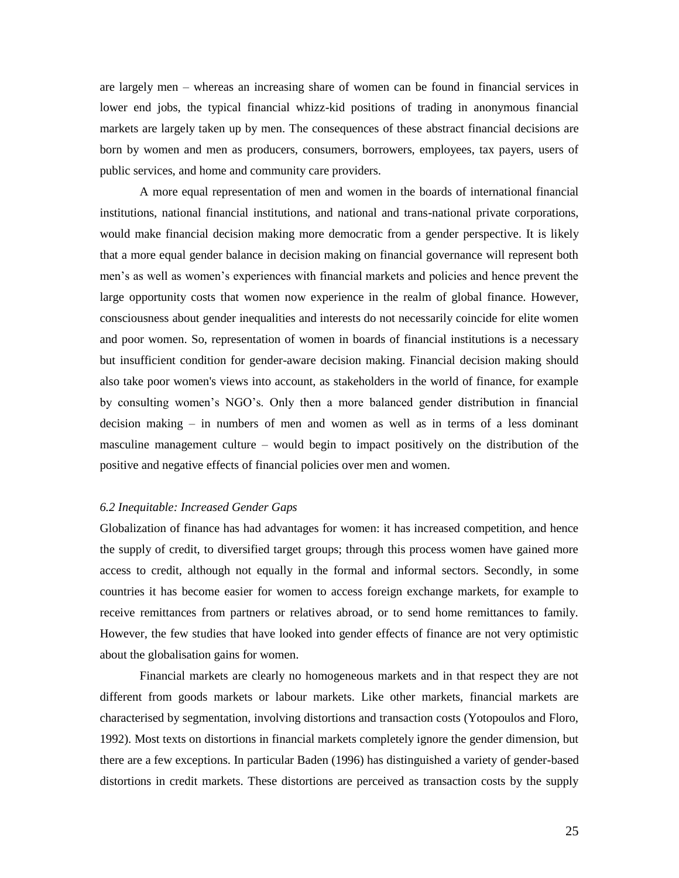are largely men – whereas an increasing share of women can be found in financial services in lower end jobs, the typical financial whizz-kid positions of trading in anonymous financial markets are largely taken up by men. The consequences of these abstract financial decisions are born by women and men as producers, consumers, borrowers, employees, tax payers, users of public services, and home and community care providers.

A more equal representation of men and women in the boards of international financial institutions, national financial institutions, and national and trans-national private corporations, would make financial decision making more democratic from a gender perspective. It is likely that a more equal gender balance in decision making on financial governance will represent both men's as well as women's experiences with financial markets and policies and hence prevent the large opportunity costs that women now experience in the realm of global finance. However, consciousness about gender inequalities and interests do not necessarily coincide for elite women and poor women. So, representation of women in boards of financial institutions is a necessary but insufficient condition for gender-aware decision making. Financial decision making should also take poor women's views into account, as stakeholders in the world of finance, for example by consulting women's NGO's. Only then a more balanced gender distribution in financial decision making – in numbers of men and women as well as in terms of a less dominant masculine management culture – would begin to impact positively on the distribution of the positive and negative effects of financial policies over men and women.

#### *6.2 Inequitable: Increased Gender Gaps*

Globalization of finance has had advantages for women: it has increased competition, and hence the supply of credit, to diversified target groups; through this process women have gained more access to credit, although not equally in the formal and informal sectors. Secondly, in some countries it has become easier for women to access foreign exchange markets, for example to receive remittances from partners or relatives abroad, or to send home remittances to family. However, the few studies that have looked into gender effects of finance are not very optimistic about the globalisation gains for women.

Financial markets are clearly no homogeneous markets and in that respect they are not different from goods markets or labour markets. Like other markets, financial markets are characterised by segmentation, involving distortions and transaction costs (Yotopoulos and Floro, 1992). Most texts on distortions in financial markets completely ignore the gender dimension, but there are a few exceptions. In particular Baden (1996) has distinguished a variety of gender-based distortions in credit markets. These distortions are perceived as transaction costs by the supply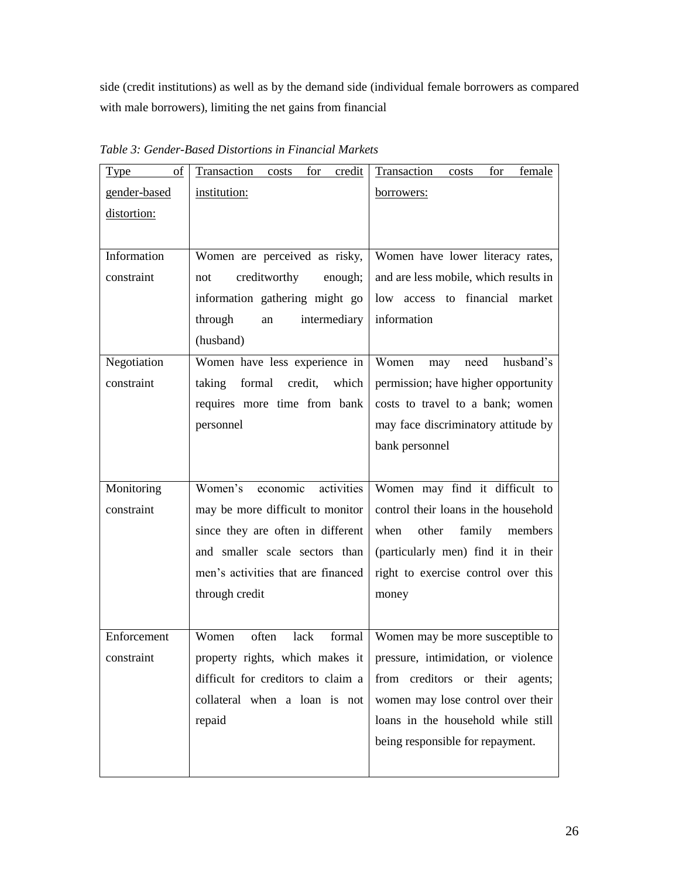side (credit institutions) as well as by the demand side (individual female borrowers as compared with male borrowers), limiting the net gains from financial

| $% \left( \left( \mathcal{A},\mathcal{A}\right) \right) =\left( \mathcal{A},\mathcal{A}\right)$ of<br>Type | for<br>Transaction costs<br>credit   | Transaction<br>for<br>female<br>costs                               |
|------------------------------------------------------------------------------------------------------------|--------------------------------------|---------------------------------------------------------------------|
| gender-based                                                                                               | institution:                         | <u>borrowers:</u>                                                   |
| distortion:                                                                                                |                                      |                                                                     |
|                                                                                                            |                                      |                                                                     |
| Information                                                                                                |                                      | Women are perceived as risky, Women have lower literacy rates,      |
| constraint                                                                                                 | creditworthy<br>enough;<br>not       | and are less mobile, which results in                               |
|                                                                                                            |                                      | information gathering might go   low access to financial market     |
|                                                                                                            | through<br>intermediary<br>an        | information                                                         |
|                                                                                                            | (husband)                            |                                                                     |
| Negotiation                                                                                                | Women have less experience in        | Women<br>husband's<br>need<br>may                                   |
| constraint                                                                                                 | formal<br>credit,<br>which<br>taking | permission; have higher opportunity                                 |
|                                                                                                            | requires more time from bank         | costs to travel to a bank; women                                    |
|                                                                                                            | personnel                            | may face discriminatory attitude by                                 |
|                                                                                                            |                                      | bank personnel                                                      |
|                                                                                                            |                                      |                                                                     |
| Monitoring                                                                                                 | Women's<br>economic<br>activities    | Women may find it difficult to                                      |
| constraint                                                                                                 | may be more difficult to monitor     | control their loans in the household                                |
|                                                                                                            | since they are often in different    | when<br>other<br>family members                                     |
|                                                                                                            | and smaller scale sectors than       | (particularly men) find it in their                                 |
|                                                                                                            | men's activities that are financed   | right to exercise control over this                                 |
|                                                                                                            | through credit                       | money                                                               |
|                                                                                                            |                                      |                                                                     |
| Enforcement                                                                                                | formal<br>Women<br>often<br>lack     | Women may be more susceptible to                                    |
| constraint                                                                                                 |                                      | property rights, which makes it pressure, intimidation, or violence |
|                                                                                                            | difficult for creditors to claim a   | from creditors or their agents;                                     |
|                                                                                                            | collateral when a loan is not        | women may lose control over their                                   |
|                                                                                                            | repaid                               | loans in the household while still                                  |
|                                                                                                            |                                      | being responsible for repayment.                                    |
|                                                                                                            |                                      |                                                                     |

*Table 3: Gender-Based Distortions in Financial Markets*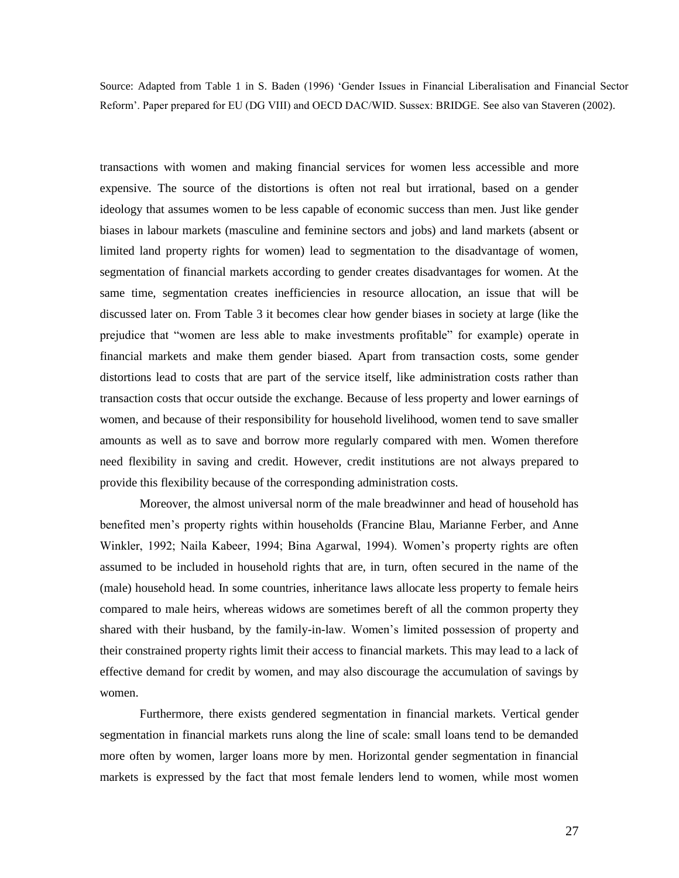Source: Adapted from Table 1 in S. Baden (1996) 'Gender Issues in Financial Liberalisation and Financial Sector Reform'. Paper prepared for EU (DG VIII) and OECD DAC/WID. Sussex: BRIDGE. See also van Staveren (2002).

transactions with women and making financial services for women less accessible and more expensive. The source of the distortions is often not real but irrational, based on a gender ideology that assumes women to be less capable of economic success than men. Just like gender biases in labour markets (masculine and feminine sectors and jobs) and land markets (absent or limited land property rights for women) lead to segmentation to the disadvantage of women, segmentation of financial markets according to gender creates disadvantages for women. At the same time, segmentation creates inefficiencies in resource allocation, an issue that will be discussed later on. From Table 3 it becomes clear how gender biases in society at large (like the prejudice that "women are less able to make investments profitable" for example) operate in financial markets and make them gender biased. Apart from transaction costs, some gender distortions lead to costs that are part of the service itself, like administration costs rather than transaction costs that occur outside the exchange. Because of less property and lower earnings of women, and because of their responsibility for household livelihood, women tend to save smaller amounts as well as to save and borrow more regularly compared with men. Women therefore need flexibility in saving and credit. However, credit institutions are not always prepared to provide this flexibility because of the corresponding administration costs.

Moreover, the almost universal norm of the male breadwinner and head of household has benefited men's property rights within households (Francine Blau, Marianne Ferber, and Anne Winkler, 1992; Naila Kabeer, 1994; Bina Agarwal, 1994). Women's property rights are often assumed to be included in household rights that are, in turn, often secured in the name of the (male) household head. In some countries, inheritance laws allocate less property to female heirs compared to male heirs, whereas widows are sometimes bereft of all the common property they shared with their husband, by the family-in-law. Women's limited possession of property and their constrained property rights limit their access to financial markets. This may lead to a lack of effective demand for credit by women, and may also discourage the accumulation of savings by women.

Furthermore, there exists gendered segmentation in financial markets. Vertical gender segmentation in financial markets runs along the line of scale: small loans tend to be demanded more often by women, larger loans more by men. Horizontal gender segmentation in financial markets is expressed by the fact that most female lenders lend to women, while most women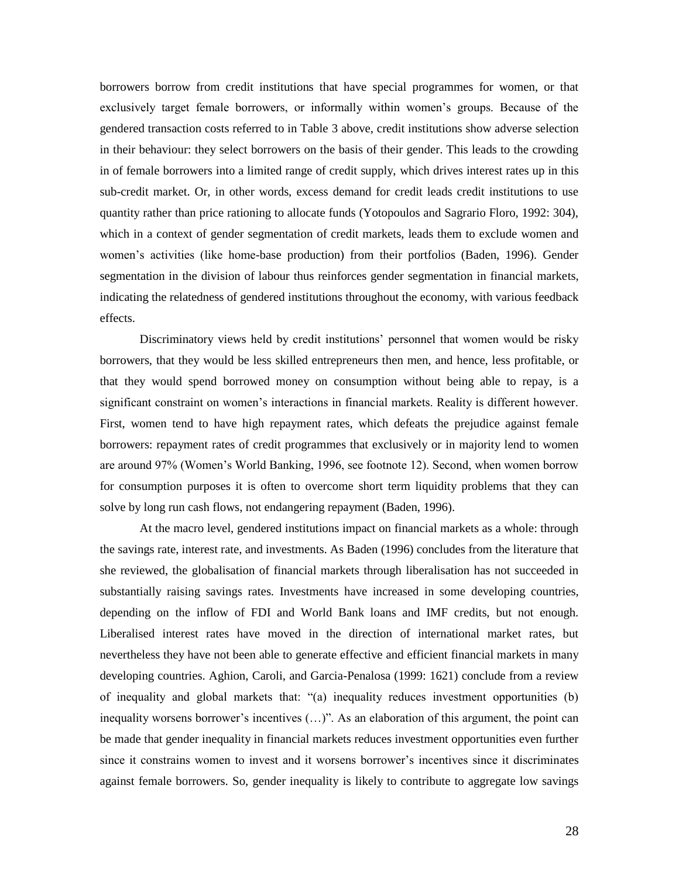borrowers borrow from credit institutions that have special programmes for women, or that exclusively target female borrowers, or informally within women's groups. Because of the gendered transaction costs referred to in Table 3 above, credit institutions show adverse selection in their behaviour: they select borrowers on the basis of their gender. This leads to the crowding in of female borrowers into a limited range of credit supply, which drives interest rates up in this sub-credit market. Or, in other words, excess demand for credit leads credit institutions to use quantity rather than price rationing to allocate funds (Yotopoulos and Sagrario Floro, 1992: 304), which in a context of gender segmentation of credit markets, leads them to exclude women and women's activities (like home-base production) from their portfolios (Baden, 1996). Gender segmentation in the division of labour thus reinforces gender segmentation in financial markets, indicating the relatedness of gendered institutions throughout the economy, with various feedback effects.

Discriminatory views held by credit institutions' personnel that women would be risky borrowers, that they would be less skilled entrepreneurs then men, and hence, less profitable, or that they would spend borrowed money on consumption without being able to repay, is a significant constraint on women's interactions in financial markets. Reality is different however. First, women tend to have high repayment rates, which defeats the prejudice against female borrowers: repayment rates of credit programmes that exclusively or in majority lend to women are around 97% (Women's World Banking, 1996, see footnote 12). Second, when women borrow for consumption purposes it is often to overcome short term liquidity problems that they can solve by long run cash flows, not endangering repayment (Baden, 1996).

At the macro level, gendered institutions impact on financial markets as a whole: through the savings rate, interest rate, and investments. As Baden (1996) concludes from the literature that she reviewed, the globalisation of financial markets through liberalisation has not succeeded in substantially raising savings rates. Investments have increased in some developing countries, depending on the inflow of FDI and World Bank loans and IMF credits, but not enough. Liberalised interest rates have moved in the direction of international market rates, but nevertheless they have not been able to generate effective and efficient financial markets in many developing countries. Aghion, Caroli, and Garcia-Penalosa (1999: 1621) conclude from a review of inequality and global markets that: "(a) inequality reduces investment opportunities (b) inequality worsens borrower's incentives  $(...)$ ". As an elaboration of this argument, the point can be made that gender inequality in financial markets reduces investment opportunities even further since it constrains women to invest and it worsens borrower's incentives since it discriminates against female borrowers. So, gender inequality is likely to contribute to aggregate low savings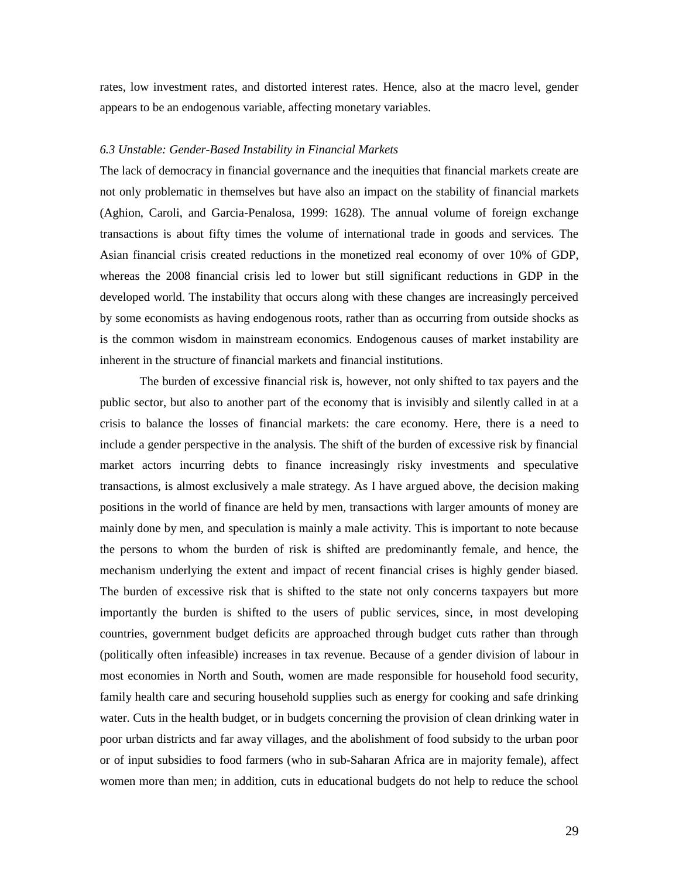rates, low investment rates, and distorted interest rates. Hence, also at the macro level, gender appears to be an endogenous variable, affecting monetary variables.

#### *6.3 Unstable: Gender-Based Instability in Financial Markets*

The lack of democracy in financial governance and the inequities that financial markets create are not only problematic in themselves but have also an impact on the stability of financial markets (Aghion, Caroli, and Garcia-Penalosa, 1999: 1628). The annual volume of foreign exchange transactions is about fifty times the volume of international trade in goods and services. The Asian financial crisis created reductions in the monetized real economy of over 10% of GDP, whereas the 2008 financial crisis led to lower but still significant reductions in GDP in the developed world. The instability that occurs along with these changes are increasingly perceived by some economists as having endogenous roots, rather than as occurring from outside shocks as is the common wisdom in mainstream economics. Endogenous causes of market instability are inherent in the structure of financial markets and financial institutions.

The burden of excessive financial risk is, however, not only shifted to tax payers and the public sector, but also to another part of the economy that is invisibly and silently called in at a crisis to balance the losses of financial markets: the care economy. Here, there is a need to include a gender perspective in the analysis. The shift of the burden of excessive risk by financial market actors incurring debts to finance increasingly risky investments and speculative transactions, is almost exclusively a male strategy. As I have argued above, the decision making positions in the world of finance are held by men, transactions with larger amounts of money are mainly done by men, and speculation is mainly a male activity. This is important to note because the persons to whom the burden of risk is shifted are predominantly female, and hence, the mechanism underlying the extent and impact of recent financial crises is highly gender biased. The burden of excessive risk that is shifted to the state not only concerns taxpayers but more importantly the burden is shifted to the users of public services, since, in most developing countries, government budget deficits are approached through budget cuts rather than through (politically often infeasible) increases in tax revenue. Because of a gender division of labour in most economies in North and South, women are made responsible for household food security, family health care and securing household supplies such as energy for cooking and safe drinking water. Cuts in the health budget, or in budgets concerning the provision of clean drinking water in poor urban districts and far away villages, and the abolishment of food subsidy to the urban poor or of input subsidies to food farmers (who in sub-Saharan Africa are in majority female), affect women more than men; in addition, cuts in educational budgets do not help to reduce the school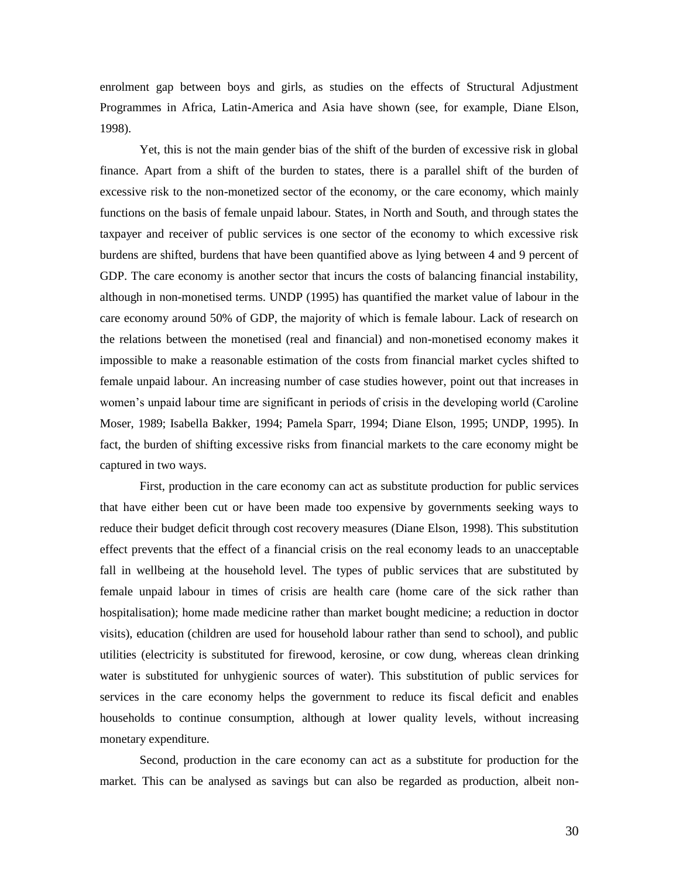enrolment gap between boys and girls, as studies on the effects of Structural Adjustment Programmes in Africa, Latin-America and Asia have shown (see, for example, Diane Elson, 1998).

Yet, this is not the main gender bias of the shift of the burden of excessive risk in global finance. Apart from a shift of the burden to states, there is a parallel shift of the burden of excessive risk to the non-monetized sector of the economy, or the care economy, which mainly functions on the basis of female unpaid labour. States, in North and South, and through states the taxpayer and receiver of public services is one sector of the economy to which excessive risk burdens are shifted, burdens that have been quantified above as lying between 4 and 9 percent of GDP. The care economy is another sector that incurs the costs of balancing financial instability, although in non-monetised terms. UNDP (1995) has quantified the market value of labour in the care economy around 50% of GDP, the majority of which is female labour. Lack of research on the relations between the monetised (real and financial) and non-monetised economy makes it impossible to make a reasonable estimation of the costs from financial market cycles shifted to female unpaid labour. An increasing number of case studies however, point out that increases in women's unpaid labour time are significant in periods of crisis in the developing world (Caroline Moser, 1989; Isabella Bakker, 1994; Pamela Sparr, 1994; Diane Elson, 1995; UNDP, 1995). In fact, the burden of shifting excessive risks from financial markets to the care economy might be captured in two ways.

First, production in the care economy can act as substitute production for public services that have either been cut or have been made too expensive by governments seeking ways to reduce their budget deficit through cost recovery measures (Diane Elson, 1998). This substitution effect prevents that the effect of a financial crisis on the real economy leads to an unacceptable fall in wellbeing at the household level. The types of public services that are substituted by female unpaid labour in times of crisis are health care (home care of the sick rather than hospitalisation); home made medicine rather than market bought medicine; a reduction in doctor visits), education (children are used for household labour rather than send to school), and public utilities (electricity is substituted for firewood, kerosine, or cow dung, whereas clean drinking water is substituted for unhygienic sources of water). This substitution of public services for services in the care economy helps the government to reduce its fiscal deficit and enables households to continue consumption, although at lower quality levels, without increasing monetary expenditure.

Second, production in the care economy can act as a substitute for production for the market. This can be analysed as savings but can also be regarded as production, albeit non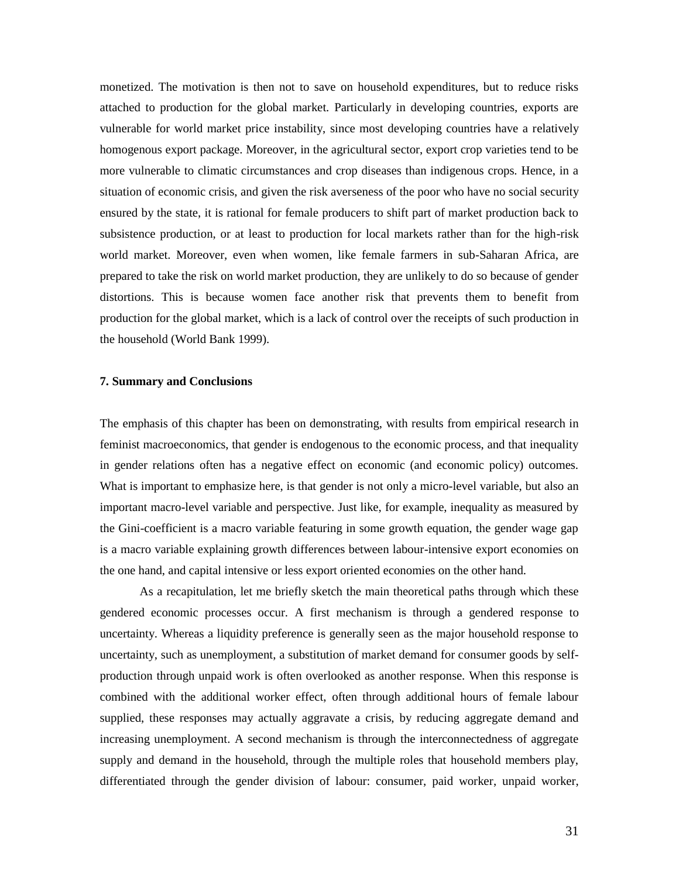monetized. The motivation is then not to save on household expenditures, but to reduce risks attached to production for the global market. Particularly in developing countries, exports are vulnerable for world market price instability, since most developing countries have a relatively homogenous export package. Moreover, in the agricultural sector, export crop varieties tend to be more vulnerable to climatic circumstances and crop diseases than indigenous crops. Hence, in a situation of economic crisis, and given the risk averseness of the poor who have no social security ensured by the state, it is rational for female producers to shift part of market production back to subsistence production, or at least to production for local markets rather than for the high-risk world market. Moreover, even when women, like female farmers in sub-Saharan Africa, are prepared to take the risk on world market production, they are unlikely to do so because of gender distortions. This is because women face another risk that prevents them to benefit from production for the global market, which is a lack of control over the receipts of such production in the household (World Bank 1999).

#### **7. Summary and Conclusions**

The emphasis of this chapter has been on demonstrating, with results from empirical research in feminist macroeconomics, that gender is endogenous to the economic process, and that inequality in gender relations often has a negative effect on economic (and economic policy) outcomes. What is important to emphasize here, is that gender is not only a micro-level variable, but also an important macro-level variable and perspective. Just like, for example, inequality as measured by the Gini-coefficient is a macro variable featuring in some growth equation, the gender wage gap is a macro variable explaining growth differences between labour-intensive export economies on the one hand, and capital intensive or less export oriented economies on the other hand.

As a recapitulation, let me briefly sketch the main theoretical paths through which these gendered economic processes occur. A first mechanism is through a gendered response to uncertainty. Whereas a liquidity preference is generally seen as the major household response to uncertainty, such as unemployment, a substitution of market demand for consumer goods by selfproduction through unpaid work is often overlooked as another response. When this response is combined with the additional worker effect, often through additional hours of female labour supplied, these responses may actually aggravate a crisis, by reducing aggregate demand and increasing unemployment. A second mechanism is through the interconnectedness of aggregate supply and demand in the household, through the multiple roles that household members play, differentiated through the gender division of labour: consumer, paid worker, unpaid worker,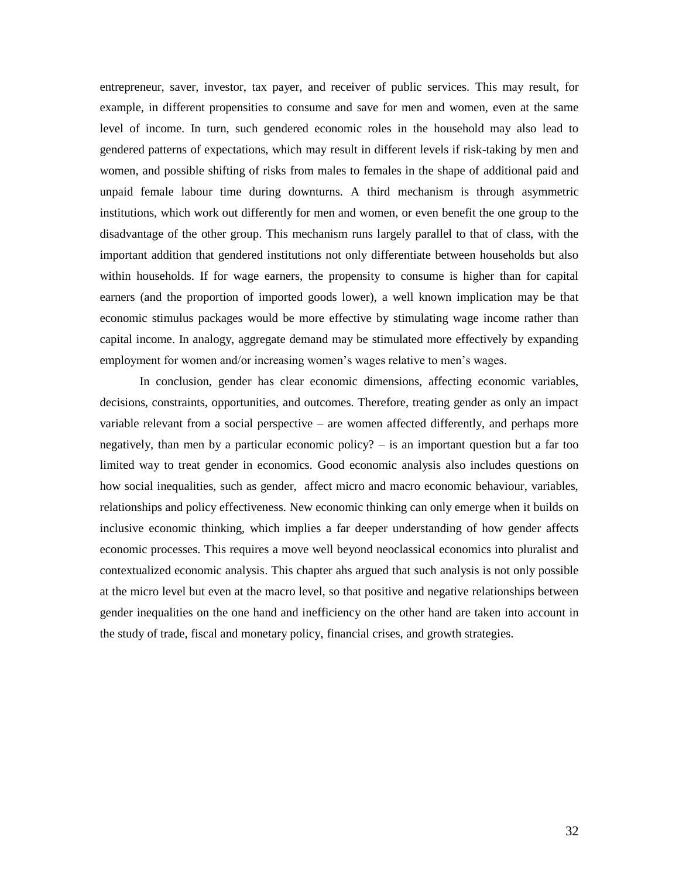entrepreneur, saver, investor, tax payer, and receiver of public services. This may result, for example, in different propensities to consume and save for men and women, even at the same level of income. In turn, such gendered economic roles in the household may also lead to gendered patterns of expectations, which may result in different levels if risk-taking by men and women, and possible shifting of risks from males to females in the shape of additional paid and unpaid female labour time during downturns. A third mechanism is through asymmetric institutions, which work out differently for men and women, or even benefit the one group to the disadvantage of the other group. This mechanism runs largely parallel to that of class, with the important addition that gendered institutions not only differentiate between households but also within households. If for wage earners, the propensity to consume is higher than for capital earners (and the proportion of imported goods lower), a well known implication may be that economic stimulus packages would be more effective by stimulating wage income rather than capital income. In analogy, aggregate demand may be stimulated more effectively by expanding employment for women and/or increasing women's wages relative to men's wages.

In conclusion, gender has clear economic dimensions, affecting economic variables, decisions, constraints, opportunities, and outcomes. Therefore, treating gender as only an impact variable relevant from a social perspective – are women affected differently, and perhaps more negatively, than men by a particular economic policy? – is an important question but a far too limited way to treat gender in economics. Good economic analysis also includes questions on how social inequalities, such as gender, affect micro and macro economic behaviour, variables, relationships and policy effectiveness. New economic thinking can only emerge when it builds on inclusive economic thinking, which implies a far deeper understanding of how gender affects economic processes. This requires a move well beyond neoclassical economics into pluralist and contextualized economic analysis. This chapter ahs argued that such analysis is not only possible at the micro level but even at the macro level, so that positive and negative relationships between gender inequalities on the one hand and inefficiency on the other hand are taken into account in the study of trade, fiscal and monetary policy, financial crises, and growth strategies.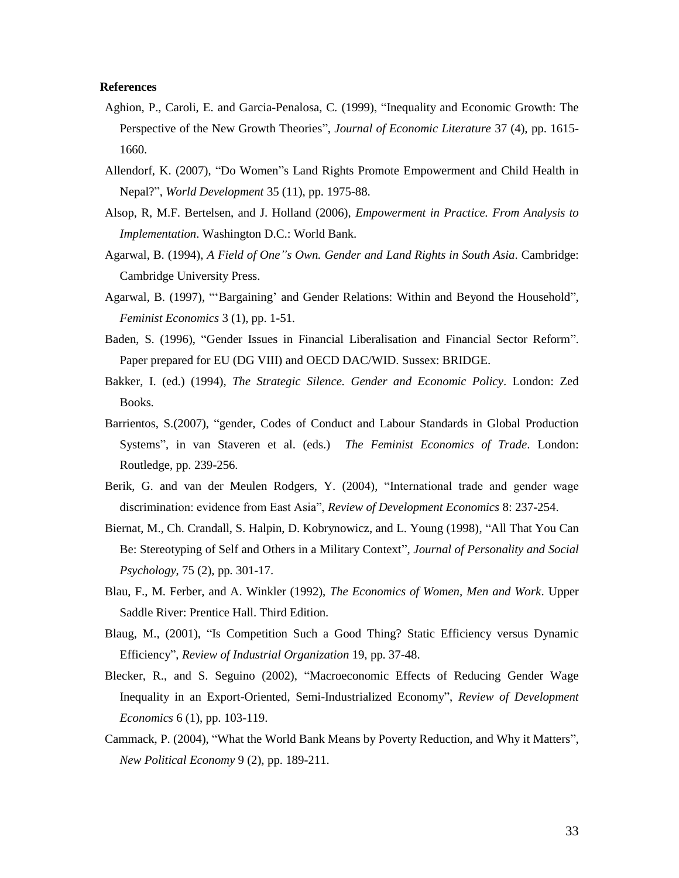#### **References**

- Aghion, P., Caroli, E. and Garcia-Penalosa, C. (1999), "Inequality and Economic Growth: The Perspective of the New Growth Theories", *Journal of Economic Literature* 37 (4), pp. 1615- 1660.
- Allendorf, K. (2007), "Do Women"s Land Rights Promote Empowerment and Child Health in Nepal?", *World Development* 35 (11), pp. 1975-88.
- Alsop, R, M.F. Bertelsen, and J. Holland (2006), *Empowerment in Practice. From Analysis to Implementation*. Washington D.C.: World Bank.
- Agarwal, B. (1994), *A Field of One"s Own. Gender and Land Rights in South Asia*. Cambridge: Cambridge University Press.
- Agarwal, B. (1997), "'Bargaining' and Gender Relations: Within and Beyond the Household", *Feminist Economics* 3 (1), pp. 1-51.
- Baden, S. (1996), "Gender Issues in Financial Liberalisation and Financial Sector Reform". Paper prepared for EU (DG VIII) and OECD DAC/WID. Sussex: BRIDGE.
- Bakker, I. (ed.) (1994), *The Strategic Silence. Gender and Economic Policy*. London: Zed Books.
- Barrientos, S.(2007), "gender, Codes of Conduct and Labour Standards in Global Production Systems", in van Staveren et al. (eds.) *The Feminist Economics of Trade*. London: Routledge, pp. 239-256.
- Berik, G. and van der Meulen Rodgers, Y. (2004), "International trade and gender wage discrimination: evidence from East Asia", *Review of Development Economics* 8: 237-254.
- Biernat, M., Ch. Crandall, S. Halpin, D. Kobrynowicz, and L. Young (1998), "All That You Can Be: Stereotyping of Self and Others in a Military Context", *Journal of Personality and Social Psychology*, 75 (2), pp. 301-17.
- Blau, F., M. Ferber, and A. Winkler (1992), *The Economics of Women, Men and Work*. Upper Saddle River: Prentice Hall. Third Edition.
- Blaug, M., (2001), "Is Competition Such a Good Thing? Static Efficiency versus Dynamic Efficiency", *Review of Industrial Organization* 19, pp. 37-48.
- Blecker, R., and S. Seguino (2002), "Macroeconomic Effects of Reducing Gender Wage Inequality in an Export-Oriented, Semi-Industrialized Economy", *Review of Development Economics* 6 (1), pp. 103-119.
- Cammack, P. (2004), "What the World Bank Means by Poverty Reduction, and Why it Matters", *New Political Economy* 9 (2), pp. 189-211.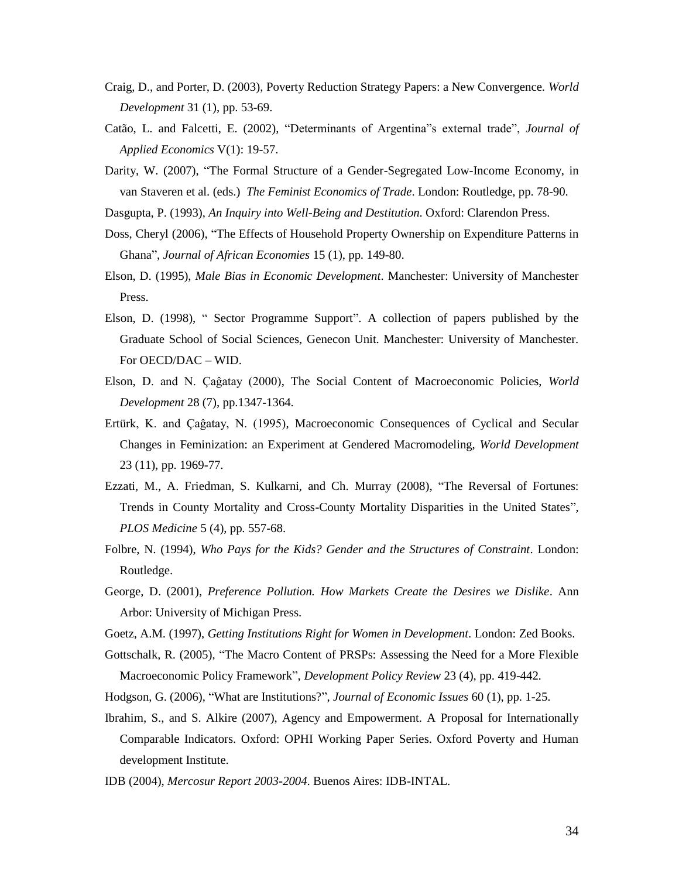- Craig, D., and Porter, D. (2003), Poverty Reduction Strategy Papers: a New Convergence. *World Development* 31 (1), pp. 53-69.
- Catão, L. and Falcetti, E. (2002), "Determinants of Argentina"s external trade", *Journal of Applied Economics* V(1): 19-57.
- Darity, W. (2007), "The Formal Structure of a Gender-Segregated Low-Income Economy, in van Staveren et al. (eds.) *The Feminist Economics of Trade*. London: Routledge, pp. 78-90.
- Dasgupta, P. (1993), *An Inquiry into Well-Being and Destitution*. Oxford: Clarendon Press.
- Doss, Cheryl (2006), "The Effects of Household Property Ownership on Expenditure Patterns in Ghana", *Journal of African Economies* 15 (1), pp. 149-80.
- Elson, D. (1995), *Male Bias in Economic Development*. Manchester: University of Manchester Press.
- Elson, D. (1998), " Sector Programme Support". A collection of papers published by the Graduate School of Social Sciences, Genecon Unit. Manchester: University of Manchester. For OECD/DAC – WID.
- Elson, D. and N. Çaĝatay (2000), The Social Content of Macroeconomic Policies, *World Development* 28 (7), pp.1347-1364.
- Ertürk, K. and Çaĝatay, N. (1995), Macroeconomic Consequences of Cyclical and Secular Changes in Feminization: an Experiment at Gendered Macromodeling, *World Development* 23 (11), pp. 1969-77.
- Ezzati, M., A. Friedman, S. Kulkarni, and Ch. Murray (2008), "The Reversal of Fortunes: Trends in County Mortality and Cross-County Mortality Disparities in the United States", *PLOS Medicine* 5 (4), pp. 557-68.
- Folbre, N. (1994), *Who Pays for the Kids? Gender and the Structures of Constraint*. London: Routledge.
- George, D. (2001), *Preference Pollution. How Markets Create the Desires we Dislike*. Ann Arbor: University of Michigan Press.
- Goetz, A.M. (1997), *Getting Institutions Right for Women in Development*. London: Zed Books.
- Gottschalk, R. (2005), "The Macro Content of PRSPs: Assessing the Need for a More Flexible Macroeconomic Policy Framework", *Development Policy Review* 23 (4), pp. 419-442.
- Hodgson, G. (2006), "What are Institutions?", *Journal of Economic Issues* 60 (1), pp. 1-25.
- Ibrahim, S., and S. Alkire (2007), Agency and Empowerment. A Proposal for Internationally Comparable Indicators. Oxford: OPHI Working Paper Series. Oxford Poverty and Human development Institute.
- IDB (2004), *Mercosur Report 2003-2004*. Buenos Aires: IDB-INTAL.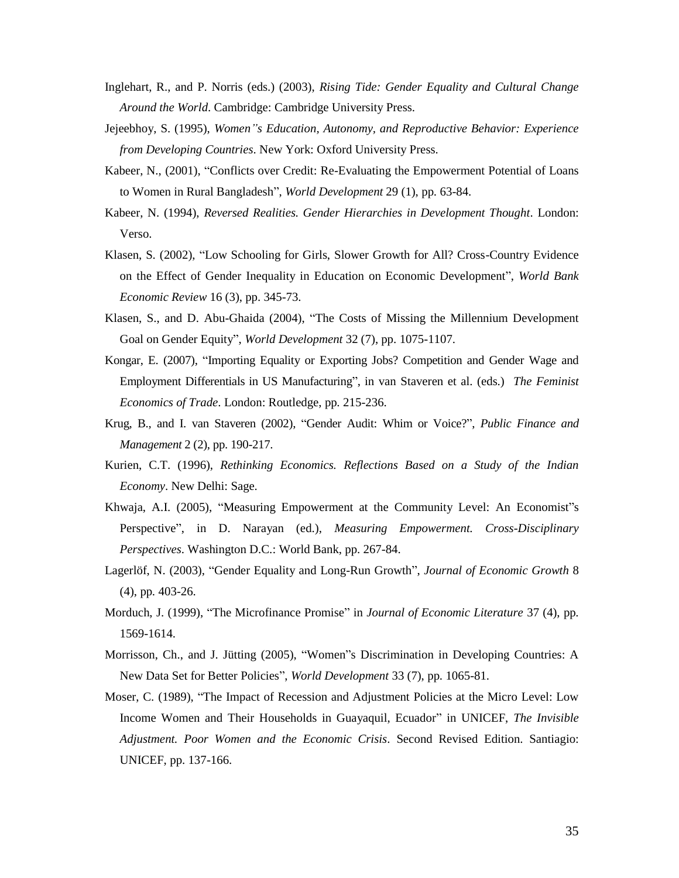- Inglehart, R., and P. Norris (eds.) (2003), *Rising Tide: Gender Equality and Cultural Change Around the World*. Cambridge: Cambridge University Press.
- Jejeebhoy, S. (1995), *Women"s Education, Autonomy, and Reproductive Behavior: Experience from Developing Countries*. New York: Oxford University Press.
- Kabeer, N., (2001), "Conflicts over Credit: Re-Evaluating the Empowerment Potential of Loans to Women in Rural Bangladesh", *World Development* 29 (1), pp. 63-84.
- Kabeer, N. (1994), *Reversed Realities. Gender Hierarchies in Development Thought*. London: Verso.
- Klasen, S. (2002), "Low Schooling for Girls, Slower Growth for All? Cross-Country Evidence on the Effect of Gender Inequality in Education on Economic Development", *World Bank Economic Review* 16 (3), pp. 345-73.
- Klasen, S., and D. Abu-Ghaida (2004), "The Costs of Missing the Millennium Development Goal on Gender Equity", *World Development* 32 (7), pp. 1075-1107.
- Kongar, E. (2007), "Importing Equality or Exporting Jobs? Competition and Gender Wage and Employment Differentials in US Manufacturing", in van Staveren et al. (eds.) *The Feminist Economics of Trade*. London: Routledge, pp. 215-236.
- Krug, B., and I. van Staveren (2002), "Gender Audit: Whim or Voice?", *Public Finance and Management* 2 (2), pp. 190-217.
- Kurien, C.T. (1996), *Rethinking Economics. Reflections Based on a Study of the Indian Economy*. New Delhi: Sage.
- Khwaja, A.I. (2005), "Measuring Empowerment at the Community Level: An Economist"s Perspective", in D. Narayan (ed.), *Measuring Empowerment. Cross-Disciplinary Perspectives*. Washington D.C.: World Bank, pp. 267-84.
- Lagerlöf, N. (2003), "Gender Equality and Long-Run Growth", *Journal of Economic Growth* 8 (4), pp. 403-26.
- Morduch, J. (1999), "The Microfinance Promise" in *Journal of Economic Literature* 37 (4), pp. 1569-1614.
- Morrisson, Ch., and J. Jütting (2005), "Women"s Discrimination in Developing Countries: A New Data Set for Better Policies", *World Development* 33 (7), pp. 1065-81.
- Moser, C. (1989), "The Impact of Recession and Adjustment Policies at the Micro Level: Low Income Women and Their Households in Guayaquil, Ecuador" in UNICEF, *The Invisible Adjustment. Poor Women and the Economic Crisis*. Second Revised Edition. Santiagio: UNICEF, pp. 137-166.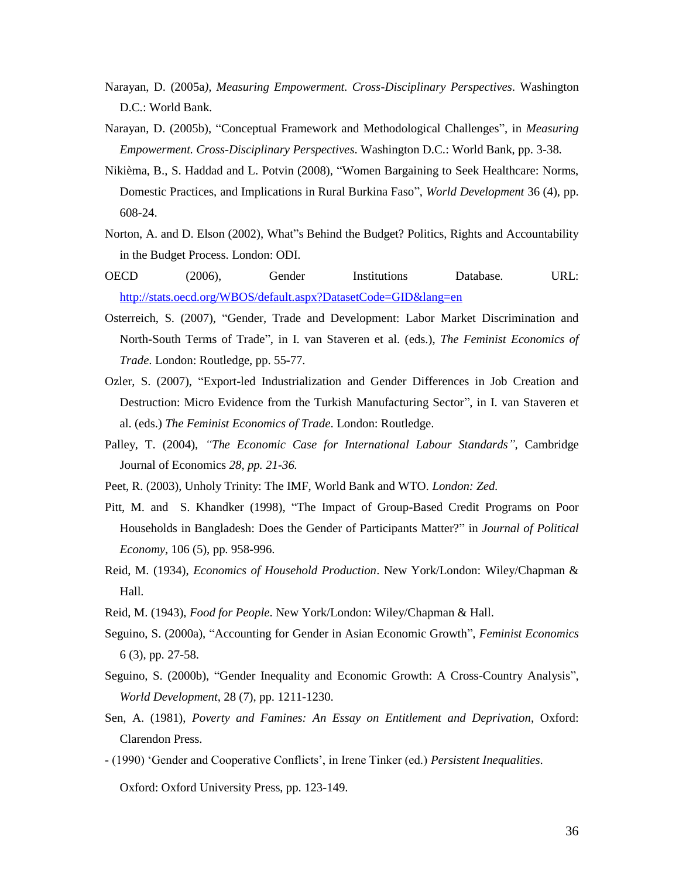- Narayan, D. (2005a*), Measuring Empowerment. Cross-Disciplinary Perspectives*. Washington D.C.: World Bank.
- Narayan, D. (2005b), "Conceptual Framework and Methodological Challenges", in *Measuring Empowerment. Cross-Disciplinary Perspectives*. Washington D.C.: World Bank, pp. 3-38.
- Nikièma, B., S. Haddad and L. Potvin (2008), "Women Bargaining to Seek Healthcare: Norms, Domestic Practices, and Implications in Rural Burkina Faso", *World Development* 36 (4), pp. 608-24.
- Norton, A. and D. Elson (2002), What"s Behind the Budget? Politics, Rights and Accountability in the Budget Process. London: ODI.
- OECD (2006), Gender Institutions Database. URL: <http://stats.oecd.org/WBOS/default.aspx?DatasetCode=GID&lang=en>
- Osterreich, S. (2007), "Gender, Trade and Development: Labor Market Discrimination and North-South Terms of Trade", in I. van Staveren et al. (eds.), *The Feminist Economics of Trade*. London: Routledge, pp. 55-77.
- Ozler, S. (2007), "Export-led Industrialization and Gender Differences in Job Creation and Destruction: Micro Evidence from the Turkish Manufacturing Sector", in I. van Staveren et al. (eds.) *The Feminist Economics of Trade*. London: Routledge.
- Palley, T. (2004), *"The Economic Case for International Labour Standards",* Cambridge Journal of Economics *28, pp. 21-36.*
- Peet, R. (2003), Unholy Trinity: The IMF, World Bank and WTO*. London: Zed.*
- Pitt, M. and S. Khandker (1998), "The Impact of Group-Based Credit Programs on Poor Households in Bangladesh: Does the Gender of Participants Matter?" in *Journal of Political Economy*, 106 (5), pp. 958-996.
- Reid, M. (1934), *Economics of Household Production*. New York/London: Wiley/Chapman & Hall.
- Reid, M. (1943), *Food for People*. New York/London: Wiley/Chapman & Hall.
- Seguino, S. (2000a), "Accounting for Gender in Asian Economic Growth", *Feminist Economics* 6 (3), pp. 27-58.
- Seguino, S. (2000b), "Gender Inequality and Economic Growth: A Cross-Country Analysis", *World Development*, 28 (7), pp. 1211-1230.
- Sen, A. (1981), *Poverty and Famines: An Essay on Entitlement and Deprivation*, Oxford: Clarendon Press.
- (1990) 'Gender and Cooperative Conflicts', in Irene Tinker (ed.) *Persistent Inequalities*.

Oxford: Oxford University Press, pp. 123-149.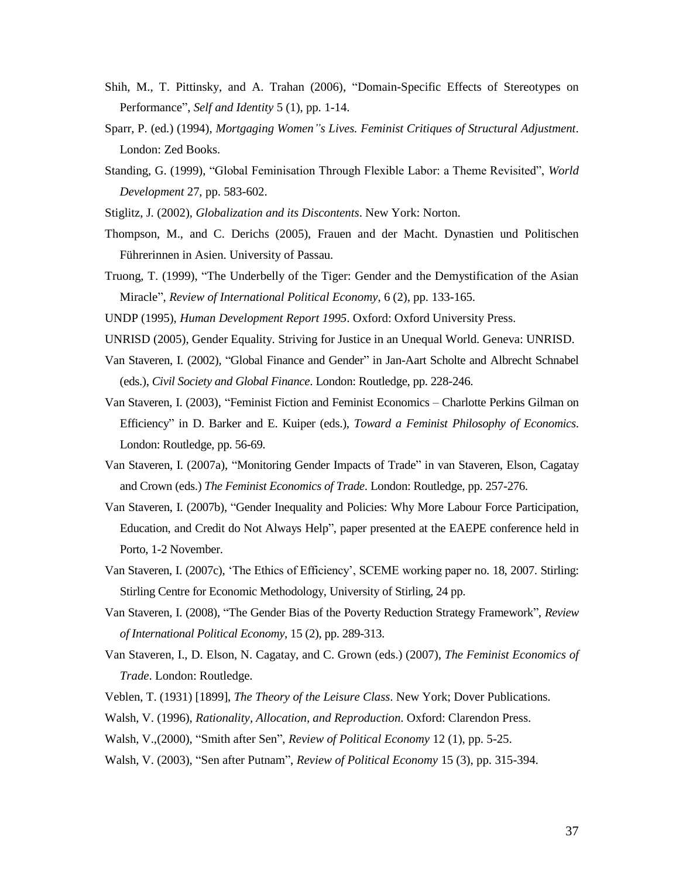- Shih, M., T. Pittinsky, and A. Trahan (2006), "Domain-Specific Effects of Stereotypes on Performance", *Self and Identity* 5 (1), pp. 1-14.
- Sparr, P. (ed.) (1994), *Mortgaging Women"s Lives. Feminist Critiques of Structural Adjustment*. London: Zed Books.
- Standing, G. (1999), "Global Feminisation Through Flexible Labor: a Theme Revisited", *World Development* 27, pp. 583-602.
- Stiglitz, J. (2002), *Globalization and its Discontents*. New York: Norton.
- Thompson, M., and C. Derichs (2005), Frauen and der Macht. Dynastien und Politischen Führerinnen in Asien. University of Passau.
- Truong, T. (1999), "The Underbelly of the Tiger: Gender and the Demystification of the Asian Miracle", *Review of International Political Economy*, 6 (2), pp. 133-165.
- UNDP (1995), *Human Development Report 1995*. Oxford: Oxford University Press.
- UNRISD (2005), Gender Equality. Striving for Justice in an Unequal World. Geneva: UNRISD.
- Van Staveren, I. (2002), "Global Finance and Gender" in Jan-Aart Scholte and Albrecht Schnabel (eds.), *Civil Society and Global Finance*. London: Routledge, pp. 228-246.
- Van Staveren, I. (2003), "Feminist Fiction and Feminist Economics Charlotte Perkins Gilman on Efficiency" in D. Barker and E. Kuiper (eds.), *Toward a Feminist Philosophy of Economics*. London: Routledge, pp. 56-69.
- Van Staveren, I. (2007a), "Monitoring Gender Impacts of Trade" in van Staveren, Elson, Cagatay and Crown (eds.) *The Feminist Economics of Trade*. London: Routledge, pp. 257-276.
- Van Staveren, I. (2007b), "Gender Inequality and Policies: Why More Labour Force Participation, Education, and Credit do Not Always Help", paper presented at the EAEPE conference held in Porto, 1-2 November.
- Van Staveren, I. (2007c), 'The Ethics of Efficiency', SCEME working paper no. 18, 2007. Stirling: Stirling Centre for Economic Methodology, University of Stirling, 24 pp.
- Van Staveren, I. (2008), "The Gender Bias of the Poverty Reduction Strategy Framework", *Review of International Political Economy*, 15 (2), pp. 289-313.
- Van Staveren, I., D. Elson, N. Cagatay, and C. Grown (eds.) (2007), *The Feminist Economics of Trade*. London: Routledge.
- Veblen, T. (1931) [1899], *The Theory of the Leisure Class*. New York; Dover Publications.
- Walsh, V. (1996), *Rationality, Allocation, and Reproduction*. Oxford: Clarendon Press.
- Walsh, V.,(2000), "Smith after Sen", *Review of Political Economy* 12 (1), pp. 5-25.
- Walsh, V. (2003), "Sen after Putnam", *Review of Political Economy* 15 (3), pp. 315-394.